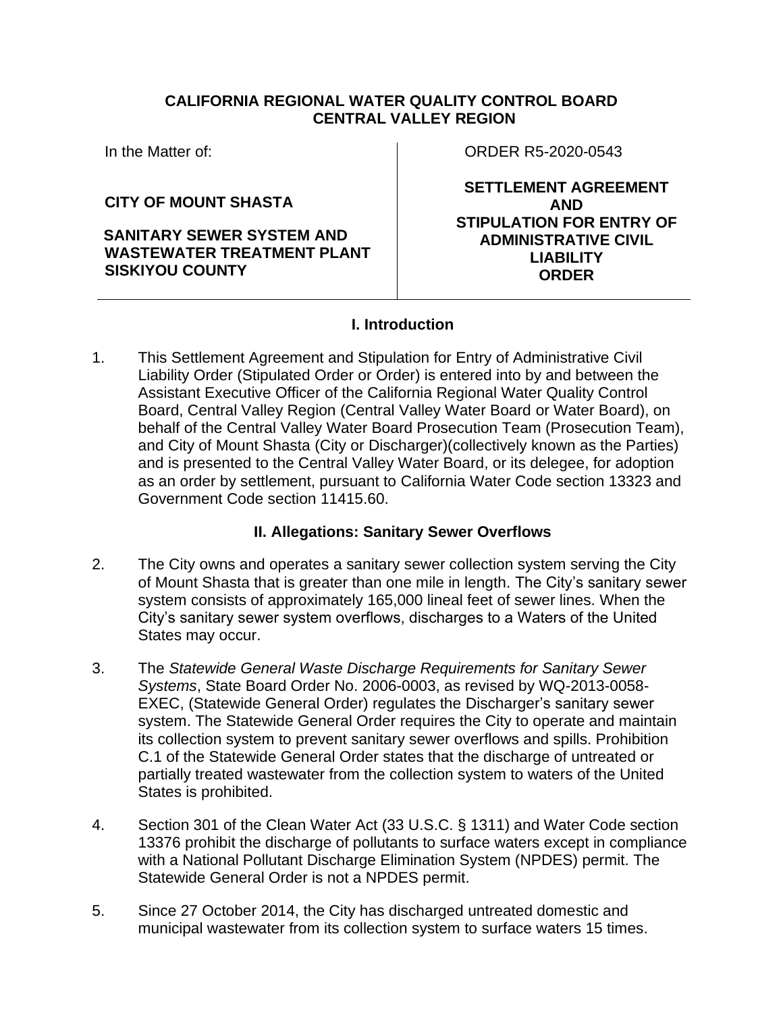## **CALIFORNIA REGIONAL WATER QUALITY CONTROL BOARD CENTRAL VALLEY REGION**

In the Matter of:

**CITY OF MOUNT SHASTA**

**SANITARY SEWER SYSTEM AND WASTEWATER TREATMENT PLANT SISKIYOU COUNTY**

ORDER R5-2020-0543

**SETTLEMENT AGREEMENT AND STIPULATION FOR ENTRY OF ADMINISTRATIVE CIVIL LIABILITY ORDER**

## **I. Introduction**

1. This Settlement Agreement and Stipulation for Entry of Administrative Civil Liability Order (Stipulated Order or Order) is entered into by and between the Assistant Executive Officer of the California Regional Water Quality Control Board, Central Valley Region (Central Valley Water Board or Water Board), on behalf of the Central Valley Water Board Prosecution Team (Prosecution Team), and City of Mount Shasta (City or Discharger)(collectively known as the Parties) and is presented to the Central Valley Water Board, or its delegee, for adoption as an order by settlement, pursuant to California Water Code section 13323 and Government Code section 11415.60.

## **II. Allegations: Sanitary Sewer Overflows**

- 2. The City owns and operates a sanitary sewer collection system serving the City of Mount Shasta that is greater than one mile in length. The City's sanitary sewer system consists of approximately 165,000 lineal feet of sewer lines. When the City's sanitary sewer system overflows, discharges to a Waters of the United States may occur.
- 3. The *Statewide General Waste Discharge Requirements for Sanitary Sewer Systems*, State Board Order No. 2006-0003, as revised by WQ-2013-0058- EXEC, (Statewide General Order) regulates the Discharger's sanitary sewer system. The Statewide General Order requires the City to operate and maintain its collection system to prevent sanitary sewer overflows and spills. Prohibition C.1 of the Statewide General Order states that the discharge of untreated or partially treated wastewater from the collection system to waters of the United States is prohibited.
- 4. Section 301 of the Clean Water Act (33 U.S.C. § 1311) and Water Code section 13376 prohibit the discharge of pollutants to surface waters except in compliance with a National Pollutant Discharge Elimination System (NPDES) permit. The Statewide General Order is not a NPDES permit.
- 5. Since 27 October 2014, the City has discharged untreated domestic and municipal wastewater from its collection system to surface waters 15 times.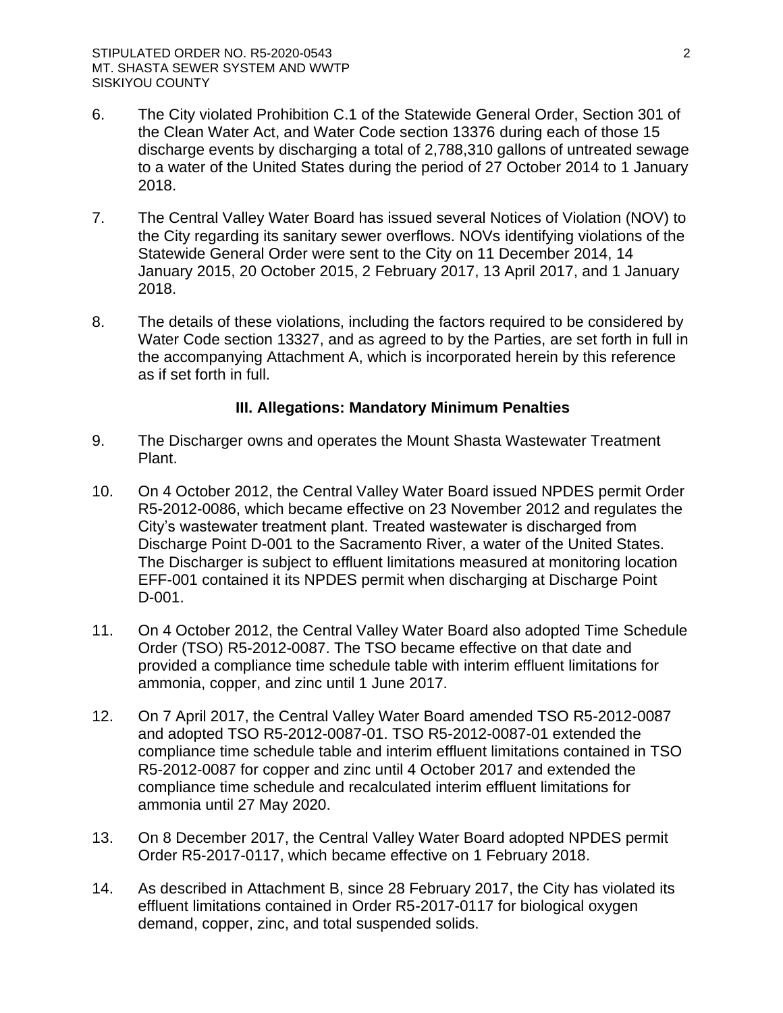- 6. The City violated Prohibition C.1 of the Statewide General Order, Section 301 of the Clean Water Act, and Water Code section 13376 during each of those 15 discharge events by discharging a total of 2,788,310 gallons of untreated sewage to a water of the United States during the period of 27 October 2014 to 1 January 2018.
- 7. The Central Valley Water Board has issued several Notices of Violation (NOV) to the City regarding its sanitary sewer overflows. NOVs identifying violations of the Statewide General Order were sent to the City on 11 December 2014, 14 January 2015, 20 October 2015, 2 February 2017, 13 April 2017, and 1 January 2018.
- 8. The details of these violations, including the factors required to be considered by Water Code section 13327, and as agreed to by the Parties, are set forth in full in the accompanying Attachment A, which is incorporated herein by this reference as if set forth in full.

## **III. Allegations: Mandatory Minimum Penalties**

- 9. The Discharger owns and operates the Mount Shasta Wastewater Treatment Plant.
- 10. On 4 October 2012, the Central Valley Water Board issued NPDES permit Order R5-2012-0086, which became effective on 23 November 2012 and regulates the City's wastewater treatment plant. Treated wastewater is discharged from Discharge Point D-001 to the Sacramento River, a water of the United States. The Discharger is subject to effluent limitations measured at monitoring location EFF-001 contained it its NPDES permit when discharging at Discharge Point D-001.
- 11. On 4 October 2012, the Central Valley Water Board also adopted Time Schedule Order (TSO) R5-2012-0087. The TSO became effective on that date and provided a compliance time schedule table with interim effluent limitations for ammonia, copper, and zinc until 1 June 2017.
- 12. On 7 April 2017, the Central Valley Water Board amended TSO R5-2012-0087 and adopted TSO R5-2012-0087-01. TSO R5-2012-0087-01 extended the compliance time schedule table and interim effluent limitations contained in TSO R5-2012-0087 for copper and zinc until 4 October 2017 and extended the compliance time schedule and recalculated interim effluent limitations for ammonia until 27 May 2020.
- 13. On 8 December 2017, the Central Valley Water Board adopted NPDES permit Order R5-2017-0117, which became effective on 1 February 2018.
- 14. As described in Attachment B, since 28 February 2017, the City has violated its effluent limitations contained in Order R5-2017-0117 for biological oxygen demand, copper, zinc, and total suspended solids.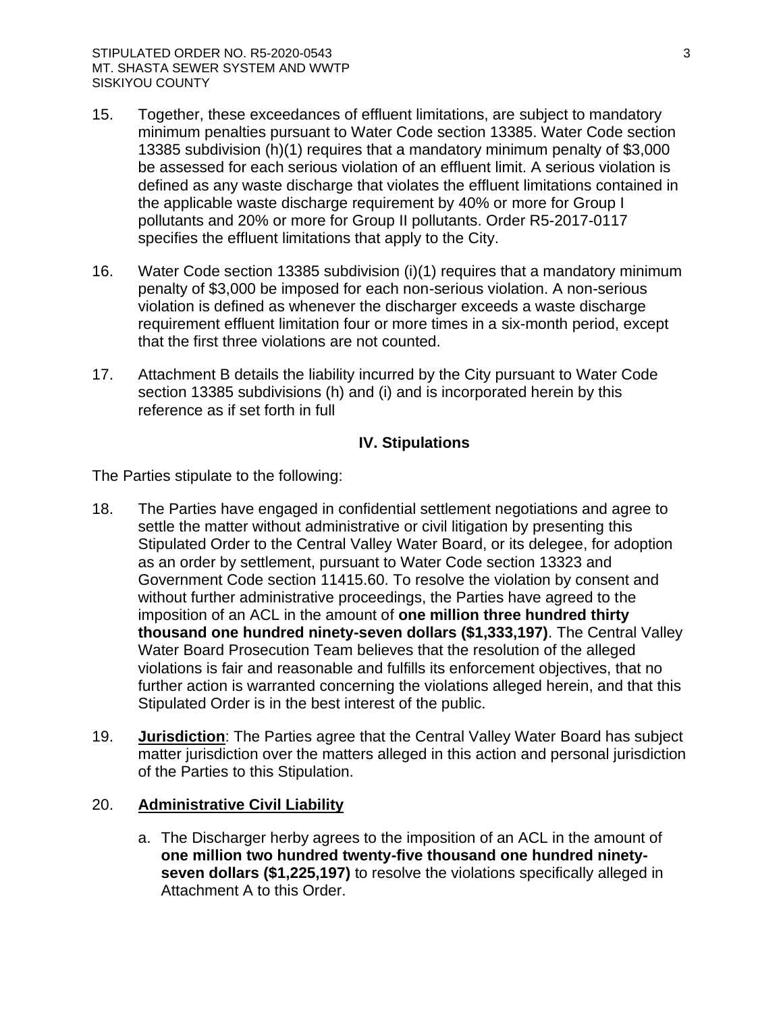- 15. Together, these exceedances of effluent limitations, are subject to mandatory minimum penalties pursuant to Water Code section 13385. Water Code section 13385 subdivision (h)(1) requires that a mandatory minimum penalty of \$3,000 be assessed for each serious violation of an effluent limit. A serious violation is defined as any waste discharge that violates the effluent limitations contained in the applicable waste discharge requirement by 40% or more for Group I pollutants and 20% or more for Group II pollutants. Order R5-2017-0117 specifies the effluent limitations that apply to the City.
- 16. Water Code section 13385 subdivision (i)(1) requires that a mandatory minimum penalty of \$3,000 be imposed for each non-serious violation. A non-serious violation is defined as whenever the discharger exceeds a waste discharge requirement effluent limitation four or more times in a six-month period, except that the first three violations are not counted.
- 17. Attachment B details the liability incurred by the City pursuant to Water Code section 13385 subdivisions (h) and (i) and is incorporated herein by this reference as if set forth in full

## **IV. Stipulations**

The Parties stipulate to the following:

- 18. The Parties have engaged in confidential settlement negotiations and agree to settle the matter without administrative or civil litigation by presenting this Stipulated Order to the Central Valley Water Board, or its delegee, for adoption as an order by settlement, pursuant to Water Code section 13323 and Government Code section 11415.60. To resolve the violation by consent and without further administrative proceedings, the Parties have agreed to the imposition of an ACL in the amount of **one million three hundred thirty thousand one hundred ninety-seven dollars (\$1,333,197)**. The Central Valley Water Board Prosecution Team believes that the resolution of the alleged violations is fair and reasonable and fulfills its enforcement objectives, that no further action is warranted concerning the violations alleged herein, and that this Stipulated Order is in the best interest of the public.
- 19. **Jurisdiction**: The Parties agree that the Central Valley Water Board has subject matter jurisdiction over the matters alleged in this action and personal jurisdiction of the Parties to this Stipulation.

## 20. **Administrative Civil Liability**

a. The Discharger herby agrees to the imposition of an ACL in the amount of **one million two hundred twenty-five thousand one hundred ninetyseven dollars (\$1,225,197)** to resolve the violations specifically alleged in Attachment A to this Order.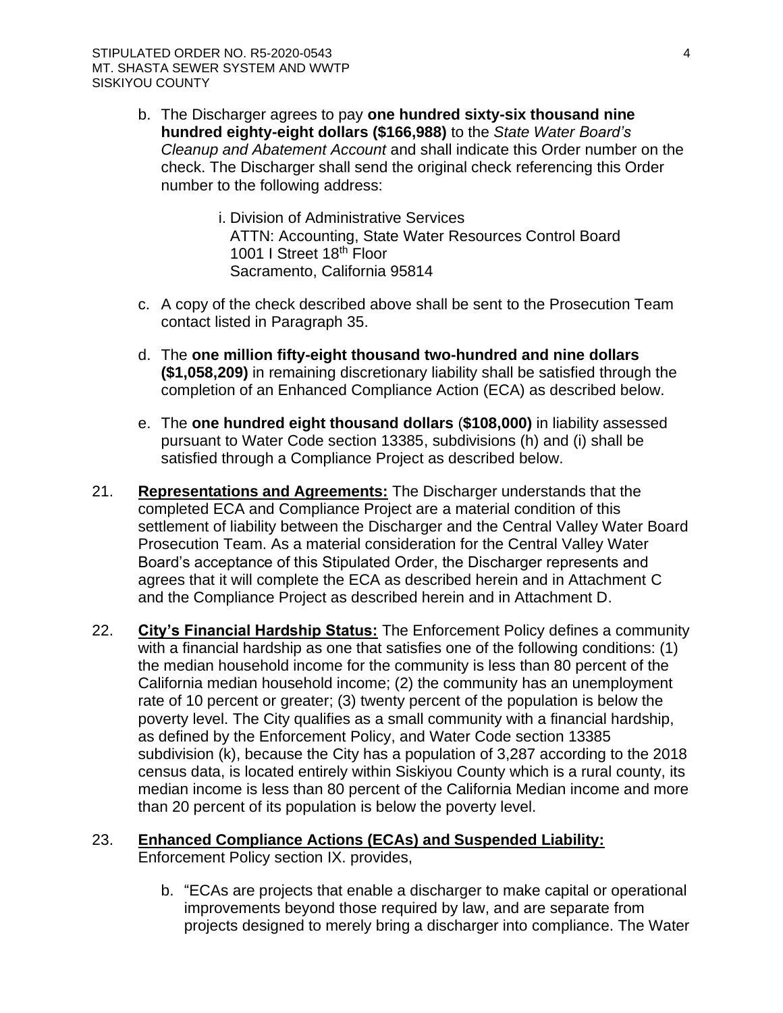- b. The Discharger agrees to pay **one hundred sixty-six thousand nine hundred eighty-eight dollars (\$166,988)** to the *State Water Board's Cleanup and Abatement Account* and shall indicate this Order number on the check. The Discharger shall send the original check referencing this Order number to the following address:
	- i. Division of Administrative Services ATTN: Accounting, State Water Resources Control Board 1001 I Street 18<sup>th</sup> Floor Sacramento, California 95814
- c. A copy of the check described above shall be sent to the Prosecution Team contact listed in Paragraph 35.
- d. The **one million fifty-eight thousand two-hundred and nine dollars (\$1,058,209)** in remaining discretionary liability shall be satisfied through the completion of an Enhanced Compliance Action (ECA) as described below.
- e. The **one hundred eight thousand dollars** (**\$108,000)** in liability assessed pursuant to Water Code section 13385, subdivisions (h) and (i) shall be satisfied through a Compliance Project as described below.
- 21. **Representations and Agreements:** The Discharger understands that the completed ECA and Compliance Project are a material condition of this settlement of liability between the Discharger and the Central Valley Water Board Prosecution Team. As a material consideration for the Central Valley Water Board's acceptance of this Stipulated Order, the Discharger represents and agrees that it will complete the ECA as described herein and in Attachment C and the Compliance Project as described herein and in Attachment D.
- 22. **City's Financial Hardship Status:** The Enforcement Policy defines a community with a financial hardship as one that satisfies one of the following conditions: (1) the median household income for the community is less than 80 percent of the California median household income; (2) the community has an unemployment rate of 10 percent or greater; (3) twenty percent of the population is below the poverty level. The City qualifies as a small community with a financial hardship, as defined by the Enforcement Policy, and Water Code section 13385 subdivision (k), because the City has a population of 3,287 according to the 2018 census data, is located entirely within Siskiyou County which is a rural county, its median income is less than 80 percent of the California Median income and more than 20 percent of its population is below the poverty level.

# 23. **Enhanced Compliance Actions (ECAs) and Suspended Liability:** Enforcement Policy section IX. provides,

b. "ECAs are projects that enable a discharger to make capital or operational improvements beyond those required by law, and are separate from projects designed to merely bring a discharger into compliance. The Water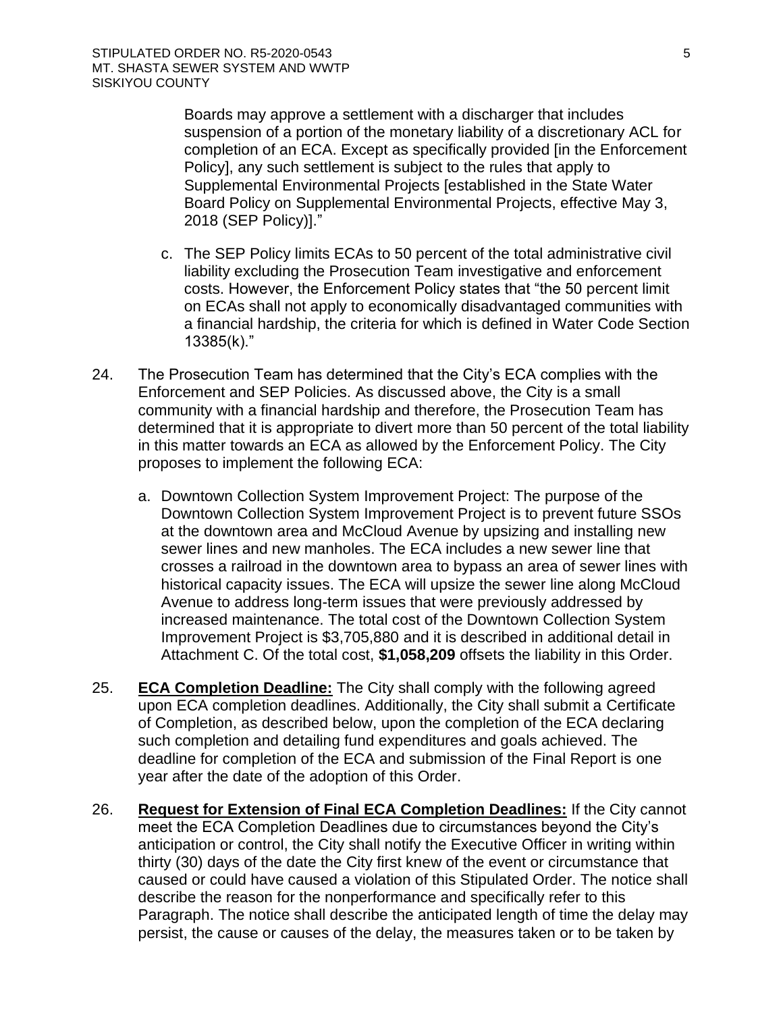Boards may approve a settlement with a discharger that includes suspension of a portion of the monetary liability of a discretionary ACL for completion of an ECA. Except as specifically provided [in the Enforcement Policy], any such settlement is subject to the rules that apply to Supplemental Environmental Projects [established in the State Water Board Policy on Supplemental Environmental Projects, effective May 3, 2018 (SEP Policy)]."

- c. The SEP Policy limits ECAs to 50 percent of the total administrative civil liability excluding the Prosecution Team investigative and enforcement costs. However, the Enforcement Policy states that "the 50 percent limit on ECAs shall not apply to economically disadvantaged communities with a financial hardship, the criteria for which is defined in Water Code Section 13385(k)."
- 24. The Prosecution Team has determined that the City's ECA complies with the Enforcement and SEP Policies. As discussed above, the City is a small community with a financial hardship and therefore, the Prosecution Team has determined that it is appropriate to divert more than 50 percent of the total liability in this matter towards an ECA as allowed by the Enforcement Policy. The City proposes to implement the following ECA:
	- a. Downtown Collection System Improvement Project: The purpose of the Downtown Collection System Improvement Project is to prevent future SSOs at the downtown area and McCloud Avenue by upsizing and installing new sewer lines and new manholes. The ECA includes a new sewer line that crosses a railroad in the downtown area to bypass an area of sewer lines with historical capacity issues. The ECA will upsize the sewer line along McCloud Avenue to address long-term issues that were previously addressed by increased maintenance. The total cost of the Downtown Collection System Improvement Project is \$3,705,880 and it is described in additional detail in Attachment C. Of the total cost, **\$1,058,209** offsets the liability in this Order.
- 25. **ECA Completion Deadline:** The City shall comply with the following agreed upon ECA completion deadlines. Additionally, the City shall submit a Certificate of Completion, as described below, upon the completion of the ECA declaring such completion and detailing fund expenditures and goals achieved. The deadline for completion of the ECA and submission of the Final Report is one year after the date of the adoption of this Order.
- 26. **Request for Extension of Final ECA Completion Deadlines:** If the City cannot meet the ECA Completion Deadlines due to circumstances beyond the City's anticipation or control, the City shall notify the Executive Officer in writing within thirty (30) days of the date the City first knew of the event or circumstance that caused or could have caused a violation of this Stipulated Order. The notice shall describe the reason for the nonperformance and specifically refer to this Paragraph. The notice shall describe the anticipated length of time the delay may persist, the cause or causes of the delay, the measures taken or to be taken by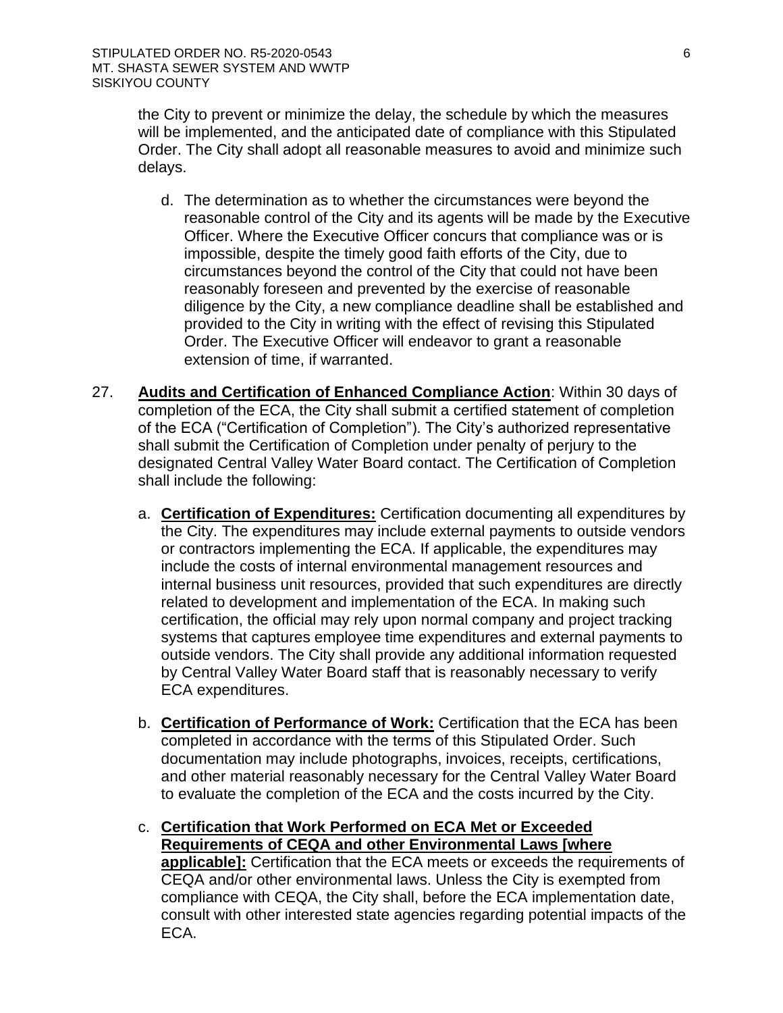the City to prevent or minimize the delay, the schedule by which the measures will be implemented, and the anticipated date of compliance with this Stipulated Order. The City shall adopt all reasonable measures to avoid and minimize such delays.

- d. The determination as to whether the circumstances were beyond the reasonable control of the City and its agents will be made by the Executive Officer. Where the Executive Officer concurs that compliance was or is impossible, despite the timely good faith efforts of the City, due to circumstances beyond the control of the City that could not have been reasonably foreseen and prevented by the exercise of reasonable diligence by the City, a new compliance deadline shall be established and provided to the City in writing with the effect of revising this Stipulated Order. The Executive Officer will endeavor to grant a reasonable extension of time, if warranted.
- 27. **Audits and Certification of Enhanced Compliance Action**: Within 30 days of completion of the ECA, the City shall submit a certified statement of completion of the ECA ("Certification of Completion"). The City's authorized representative shall submit the Certification of Completion under penalty of perjury to the designated Central Valley Water Board contact. The Certification of Completion shall include the following:
	- a. **Certification of Expenditures:** Certification documenting all expenditures by the City. The expenditures may include external payments to outside vendors or contractors implementing the ECA. If applicable, the expenditures may include the costs of internal environmental management resources and internal business unit resources, provided that such expenditures are directly related to development and implementation of the ECA. In making such certification, the official may rely upon normal company and project tracking systems that captures employee time expenditures and external payments to outside vendors. The City shall provide any additional information requested by Central Valley Water Board staff that is reasonably necessary to verify ECA expenditures.
	- b. **Certification of Performance of Work:** Certification that the ECA has been completed in accordance with the terms of this Stipulated Order. Such documentation may include photographs, invoices, receipts, certifications, and other material reasonably necessary for the Central Valley Water Board to evaluate the completion of the ECA and the costs incurred by the City.
	- c. **Certification that Work Performed on ECA Met or Exceeded Requirements of CEQA and other Environmental Laws [where applicable]:** Certification that the ECA meets or exceeds the requirements of CEQA and/or other environmental laws. Unless the City is exempted from compliance with CEQA, the City shall, before the ECA implementation date, consult with other interested state agencies regarding potential impacts of the ECA.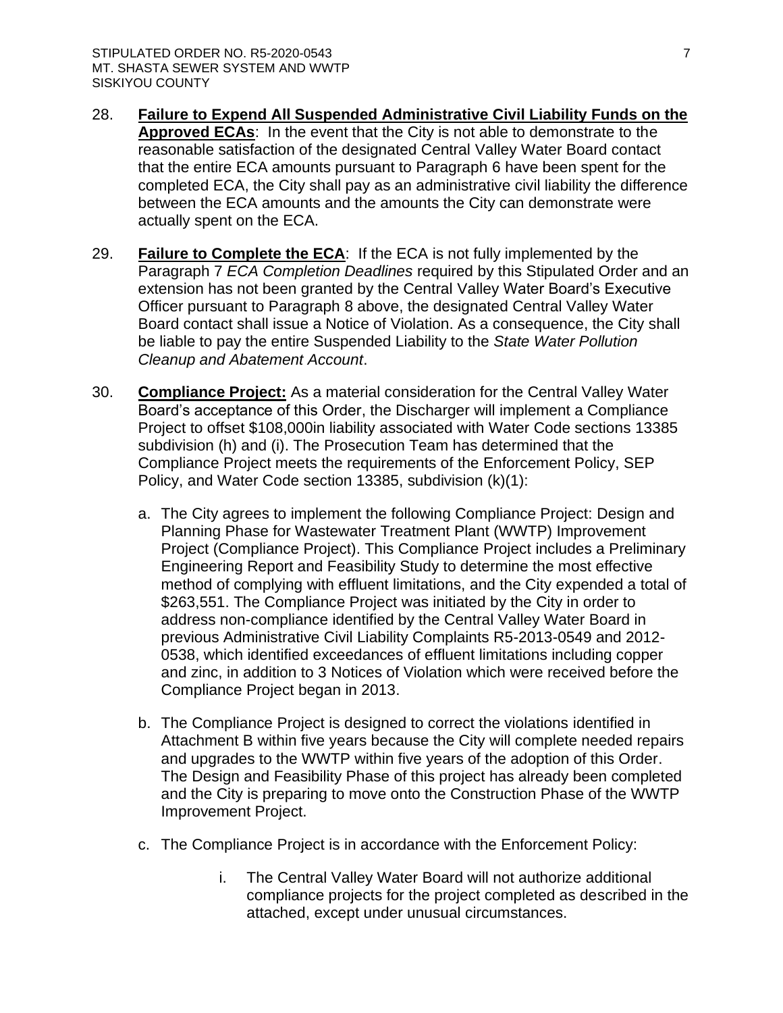- 28. **Failure to Expend All Suspended Administrative Civil Liability Funds on the Approved ECAs**: In the event that the City is not able to demonstrate to the reasonable satisfaction of the designated Central Valley Water Board contact that the entire ECA amounts pursuant to Paragraph 6 have been spent for the completed ECA, the City shall pay as an administrative civil liability the difference between the ECA amounts and the amounts the City can demonstrate were actually spent on the ECA.
- 29. **Failure to Complete the ECA**: If the ECA is not fully implemented by the Paragraph 7 *ECA Completion Deadlines* required by this Stipulated Order and an extension has not been granted by the Central Valley Water Board's Executive Officer pursuant to Paragraph 8 above, the designated Central Valley Water Board contact shall issue a Notice of Violation. As a consequence, the City shall be liable to pay the entire Suspended Liability to the *State Water Pollution Cleanup and Abatement Account*.
- 30. **Compliance Project:** As a material consideration for the Central Valley Water Board's acceptance of this Order, the Discharger will implement a Compliance Project to offset \$108,000in liability associated with Water Code sections 13385 subdivision (h) and (i). The Prosecution Team has determined that the Compliance Project meets the requirements of the Enforcement Policy, SEP Policy, and Water Code section 13385, subdivision (k)(1):
	- a. The City agrees to implement the following Compliance Project: Design and Planning Phase for Wastewater Treatment Plant (WWTP) Improvement Project (Compliance Project). This Compliance Project includes a Preliminary Engineering Report and Feasibility Study to determine the most effective method of complying with effluent limitations, and the City expended a total of \$263,551. The Compliance Project was initiated by the City in order to address non-compliance identified by the Central Valley Water Board in previous Administrative Civil Liability Complaints R5-2013-0549 and 2012- 0538, which identified exceedances of effluent limitations including copper and zinc, in addition to 3 Notices of Violation which were received before the Compliance Project began in 2013.
	- b. The Compliance Project is designed to correct the violations identified in Attachment B within five years because the City will complete needed repairs and upgrades to the WWTP within five years of the adoption of this Order. The Design and Feasibility Phase of this project has already been completed and the City is preparing to move onto the Construction Phase of the WWTP Improvement Project.
	- c. The Compliance Project is in accordance with the Enforcement Policy:
		- i. The Central Valley Water Board will not authorize additional compliance projects for the project completed as described in the attached, except under unusual circumstances.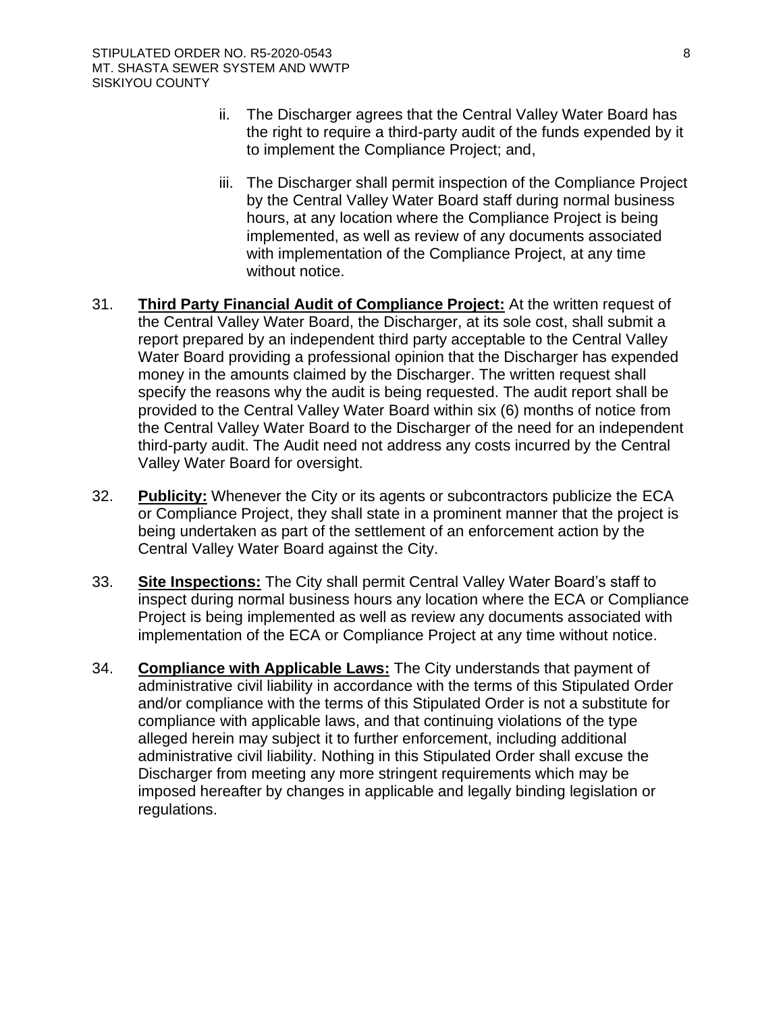- ii. The Discharger agrees that the Central Valley Water Board has the right to require a third-party audit of the funds expended by it to implement the Compliance Project; and,
- iii. The Discharger shall permit inspection of the Compliance Project by the Central Valley Water Board staff during normal business hours, at any location where the Compliance Project is being implemented, as well as review of any documents associated with implementation of the Compliance Project, at any time without notice.
- 31. **Third Party Financial Audit of Compliance Project:** At the written request of the Central Valley Water Board, the Discharger, at its sole cost, shall submit a report prepared by an independent third party acceptable to the Central Valley Water Board providing a professional opinion that the Discharger has expended money in the amounts claimed by the Discharger. The written request shall specify the reasons why the audit is being requested. The audit report shall be provided to the Central Valley Water Board within six (6) months of notice from the Central Valley Water Board to the Discharger of the need for an independent third-party audit. The Audit need not address any costs incurred by the Central Valley Water Board for oversight.
- 32. **Publicity:** Whenever the City or its agents or subcontractors publicize the ECA or Compliance Project, they shall state in a prominent manner that the project is being undertaken as part of the settlement of an enforcement action by the Central Valley Water Board against the City.
- 33. **Site Inspections:** The City shall permit Central Valley Water Board's staff to inspect during normal business hours any location where the ECA or Compliance Project is being implemented as well as review any documents associated with implementation of the ECA or Compliance Project at any time without notice.
- 34. **Compliance with Applicable Laws:** The City understands that payment of administrative civil liability in accordance with the terms of this Stipulated Order and/or compliance with the terms of this Stipulated Order is not a substitute for compliance with applicable laws, and that continuing violations of the type alleged herein may subject it to further enforcement, including additional administrative civil liability. Nothing in this Stipulated Order shall excuse the Discharger from meeting any more stringent requirements which may be imposed hereafter by changes in applicable and legally binding legislation or regulations.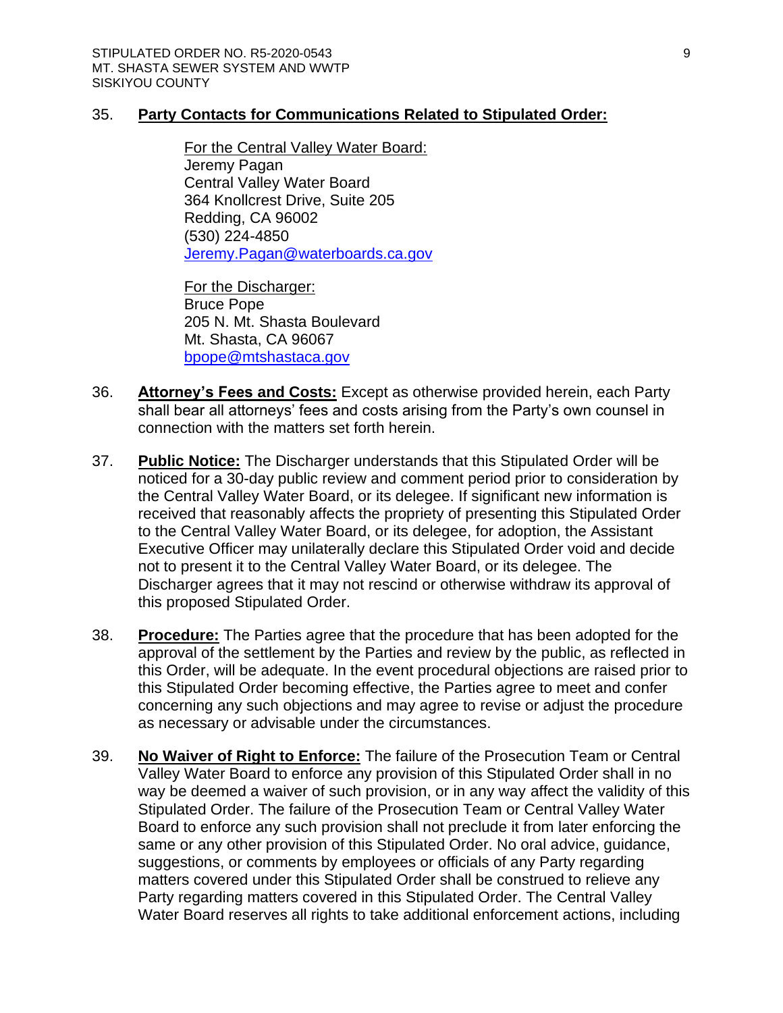## 35. **Party Contacts for Communications Related to Stipulated Order:**

For the Central Valley Water Board: Jeremy Pagan Central Valley Water Board 364 Knollcrest Drive, Suite 205 Redding, CA 96002 (530) 224-4850 [Jeremy.Pagan@waterboards.ca.gov](mailto:Jeremy.Pagan@waterboards.ca.gov)

For the Discharger: Bruce Pope 205 N. Mt. Shasta Boulevard Mt. Shasta, CA 96067 [bpope@mtshastaca.gov](mailto:bpope@mtshastaca.gov) 

- 36. **Attorney's Fees and Costs:** Except as otherwise provided herein, each Party shall bear all attorneys' fees and costs arising from the Party's own counsel in connection with the matters set forth herein.
- 37. **Public Notice:** The Discharger understands that this Stipulated Order will be noticed for a 30-day public review and comment period prior to consideration by the Central Valley Water Board, or its delegee. If significant new information is received that reasonably affects the propriety of presenting this Stipulated Order to the Central Valley Water Board, or its delegee, for adoption, the Assistant Executive Officer may unilaterally declare this Stipulated Order void and decide not to present it to the Central Valley Water Board, or its delegee. The Discharger agrees that it may not rescind or otherwise withdraw its approval of this proposed Stipulated Order.
- 38. **Procedure:** The Parties agree that the procedure that has been adopted for the approval of the settlement by the Parties and review by the public, as reflected in this Order, will be adequate. In the event procedural objections are raised prior to this Stipulated Order becoming effective, the Parties agree to meet and confer concerning any such objections and may agree to revise or adjust the procedure as necessary or advisable under the circumstances.
- 39. **No Waiver of Right to Enforce:** The failure of the Prosecution Team or Central Valley Water Board to enforce any provision of this Stipulated Order shall in no way be deemed a waiver of such provision, or in any way affect the validity of this Stipulated Order. The failure of the Prosecution Team or Central Valley Water Board to enforce any such provision shall not preclude it from later enforcing the same or any other provision of this Stipulated Order. No oral advice, guidance, suggestions, or comments by employees or officials of any Party regarding matters covered under this Stipulated Order shall be construed to relieve any Party regarding matters covered in this Stipulated Order. The Central Valley Water Board reserves all rights to take additional enforcement actions, including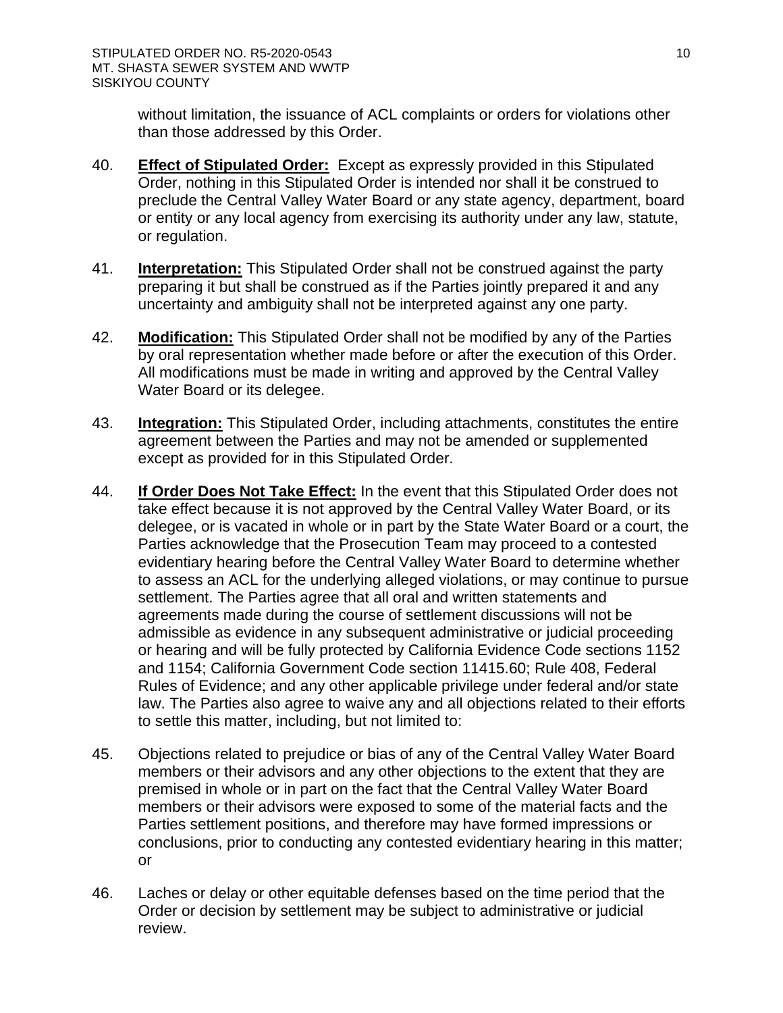without limitation, the issuance of ACL complaints or orders for violations other than those addressed by this Order.

- 40. **Effect of Stipulated Order:** Except as expressly provided in this Stipulated Order, nothing in this Stipulated Order is intended nor shall it be construed to preclude the Central Valley Water Board or any state agency, department, board or entity or any local agency from exercising its authority under any law, statute, or regulation.
- 41. **Interpretation:** This Stipulated Order shall not be construed against the party preparing it but shall be construed as if the Parties jointly prepared it and any uncertainty and ambiguity shall not be interpreted against any one party.
- 42. **Modification:** This Stipulated Order shall not be modified by any of the Parties by oral representation whether made before or after the execution of this Order. All modifications must be made in writing and approved by the Central Valley Water Board or its delegee.
- 43. **Integration:** This Stipulated Order, including attachments, constitutes the entire agreement between the Parties and may not be amended or supplemented except as provided for in this Stipulated Order.
- 44. **If Order Does Not Take Effect:** In the event that this Stipulated Order does not take effect because it is not approved by the Central Valley Water Board, or its delegee, or is vacated in whole or in part by the State Water Board or a court, the Parties acknowledge that the Prosecution Team may proceed to a contested evidentiary hearing before the Central Valley Water Board to determine whether to assess an ACL for the underlying alleged violations, or may continue to pursue settlement. The Parties agree that all oral and written statements and agreements made during the course of settlement discussions will not be admissible as evidence in any subsequent administrative or judicial proceeding or hearing and will be fully protected by California Evidence Code sections 1152 and 1154; California Government Code section 11415.60; Rule 408, Federal Rules of Evidence; and any other applicable privilege under federal and/or state law. The Parties also agree to waive any and all objections related to their efforts to settle this matter, including, but not limited to:
- 45. Objections related to prejudice or bias of any of the Central Valley Water Board members or their advisors and any other objections to the extent that they are premised in whole or in part on the fact that the Central Valley Water Board members or their advisors were exposed to some of the material facts and the Parties settlement positions, and therefore may have formed impressions or conclusions, prior to conducting any contested evidentiary hearing in this matter; or
- 46. Laches or delay or other equitable defenses based on the time period that the Order or decision by settlement may be subject to administrative or judicial review.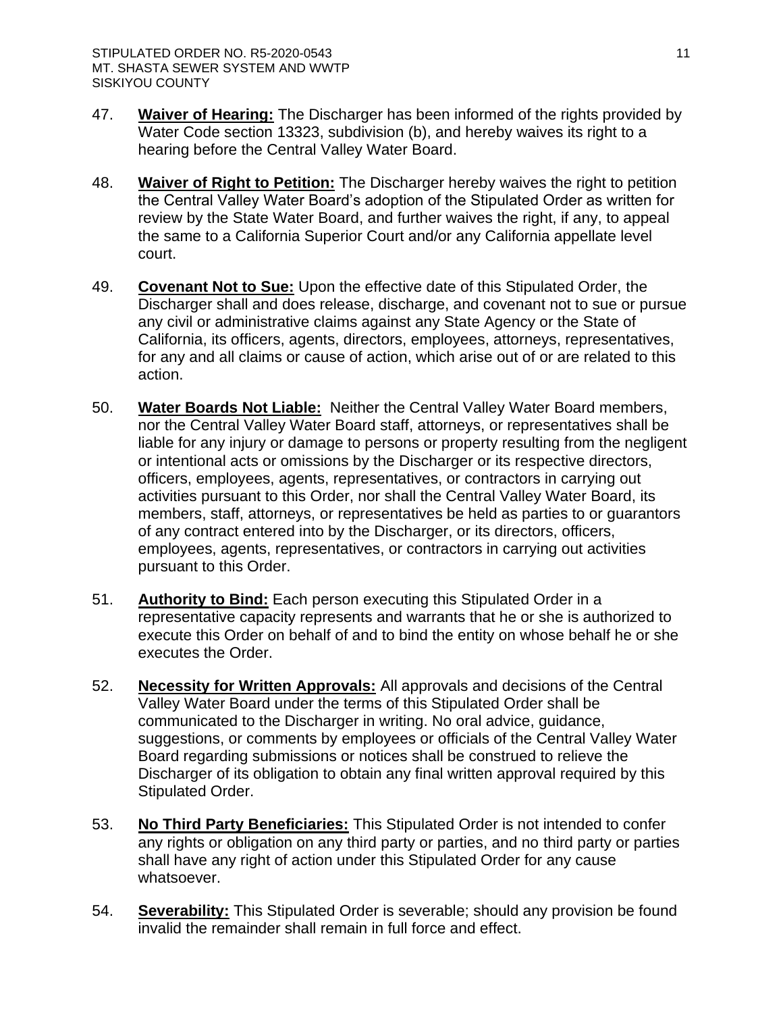- 47. **Waiver of Hearing:** The Discharger has been informed of the rights provided by Water Code section 13323, subdivision (b), and hereby waives its right to a hearing before the Central Valley Water Board.
- 48. **Waiver of Right to Petition:** The Discharger hereby waives the right to petition the Central Valley Water Board's adoption of the Stipulated Order as written for review by the State Water Board, and further waives the right, if any, to appeal the same to a California Superior Court and/or any California appellate level court.
- 49. **Covenant Not to Sue:** Upon the effective date of this Stipulated Order, the Discharger shall and does release, discharge, and covenant not to sue or pursue any civil or administrative claims against any State Agency or the State of California, its officers, agents, directors, employees, attorneys, representatives, for any and all claims or cause of action, which arise out of or are related to this action.
- 50. **Water Boards Not Liable:** Neither the Central Valley Water Board members, nor the Central Valley Water Board staff, attorneys, or representatives shall be liable for any injury or damage to persons or property resulting from the negligent or intentional acts or omissions by the Discharger or its respective directors, officers, employees, agents, representatives, or contractors in carrying out activities pursuant to this Order, nor shall the Central Valley Water Board, its members, staff, attorneys, or representatives be held as parties to or guarantors of any contract entered into by the Discharger, or its directors, officers, employees, agents, representatives, or contractors in carrying out activities pursuant to this Order.
- 51. **Authority to Bind:** Each person executing this Stipulated Order in a representative capacity represents and warrants that he or she is authorized to execute this Order on behalf of and to bind the entity on whose behalf he or she executes the Order.
- 52. **Necessity for Written Approvals:** All approvals and decisions of the Central Valley Water Board under the terms of this Stipulated Order shall be communicated to the Discharger in writing. No oral advice, guidance, suggestions, or comments by employees or officials of the Central Valley Water Board regarding submissions or notices shall be construed to relieve the Discharger of its obligation to obtain any final written approval required by this Stipulated Order.
- 53. **No Third Party Beneficiaries:** This Stipulated Order is not intended to confer any rights or obligation on any third party or parties, and no third party or parties shall have any right of action under this Stipulated Order for any cause whatsoever.
- 54. **Severability:** This Stipulated Order is severable; should any provision be found invalid the remainder shall remain in full force and effect.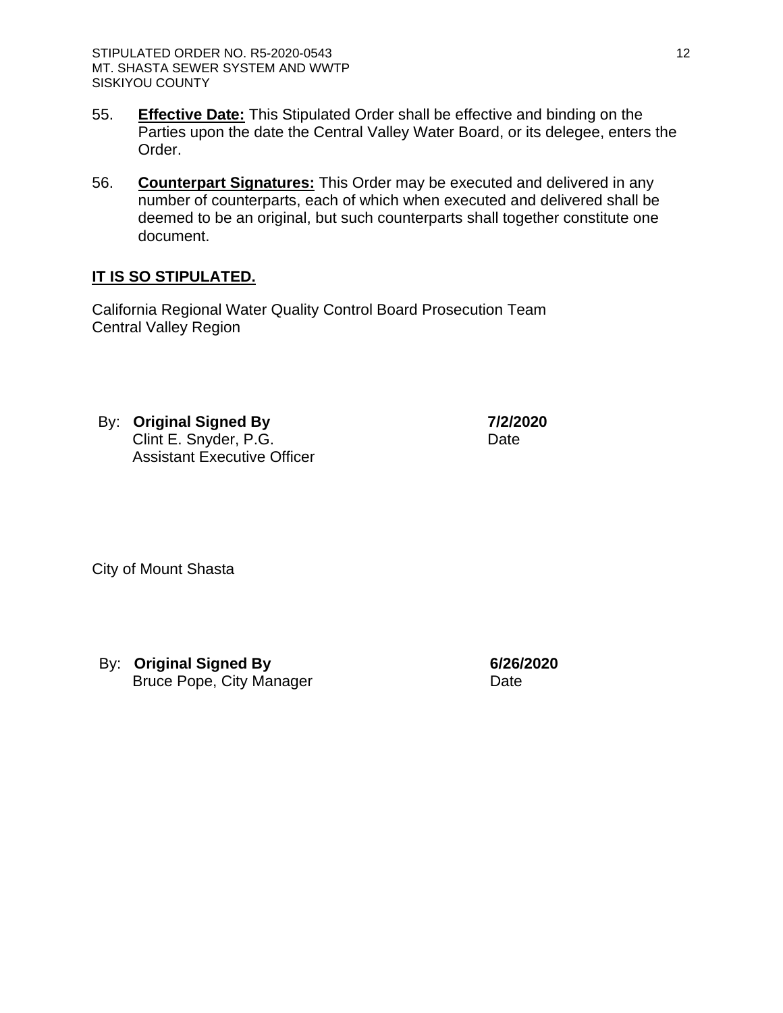- 55. **Effective Date:** This Stipulated Order shall be effective and binding on the Parties upon the date the Central Valley Water Board, or its delegee, enters the Order.
- 56. **Counterpart Signatures:** This Order may be executed and delivered in any number of counterparts, each of which when executed and delivered shall be deemed to be an original, but such counterparts shall together constitute one document.

# **IT IS SO STIPULATED.**

California Regional Water Quality Control Board Prosecution Team Central Valley Region

By: **Original Signed By** Clint E. Snyder, P.G. Assistant Executive Officer **7/2/2020** Date

City of Mount Shasta

By: **Original Signed By** Bruce Pope, City Manager **6/26/2020** Date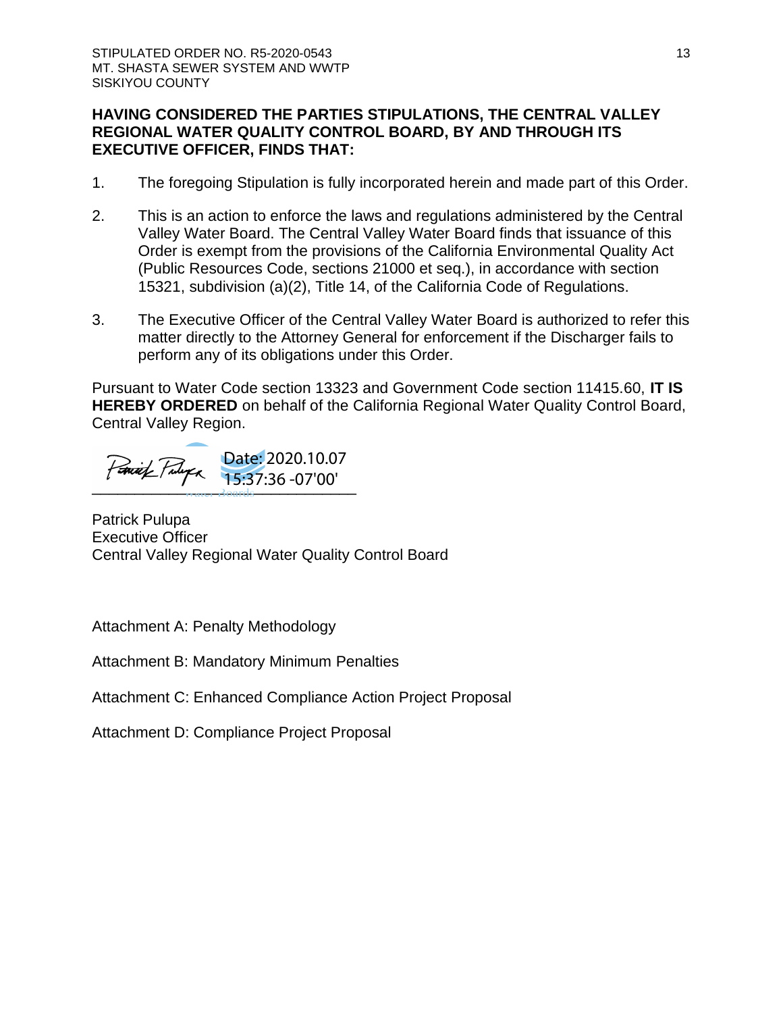## **HAVING CONSIDERED THE PARTIES STIPULATIONS, THE CENTRAL VALLEY REGIONAL WATER QUALITY CONTROL BOARD, BY AND THROUGH ITS EXECUTIVE OFFICER, FINDS THAT:**

- 1. The foregoing Stipulation is fully incorporated herein and made part of this Order.
- 2. This is an action to enforce the laws and regulations administered by the Central Valley Water Board. The Central Valley Water Board finds that issuance of this Order is exempt from the provisions of the California Environmental Quality Act (Public Resources Code, sections 21000 et seq.), in accordance with section 15321, subdivision (a)(2), Title 14, of the California Code of Regulations.
- 3. The Executive Officer of the Central Valley Water Board is authorized to refer this matter directly to the Attorney General for enforcement if the Discharger fails to perform any of its obligations under this Order.

Pursuant to Water Code section 13323 and Government Code section 11415.60, **IT IS HEREBY ORDERED** on behalf of the California Regional Water Quality Control Board, Central Valley Region.

\_\_\_\_\_\_\_\_\_\_\_\_\_\_\_\_\_\_\_\_\_\_\_\_\_\_\_\_\_\_\_ Date: 2020.10.07 15:37:36 -07'00'

Patrick Pulupa Executive Officer Central Valley Regional Water Quality Control Board

Attachment A: Penalty Methodology

Attachment B: Mandatory Minimum Penalties

Attachment C: Enhanced Compliance Action Project Proposal

Attachment D: Compliance Project Proposal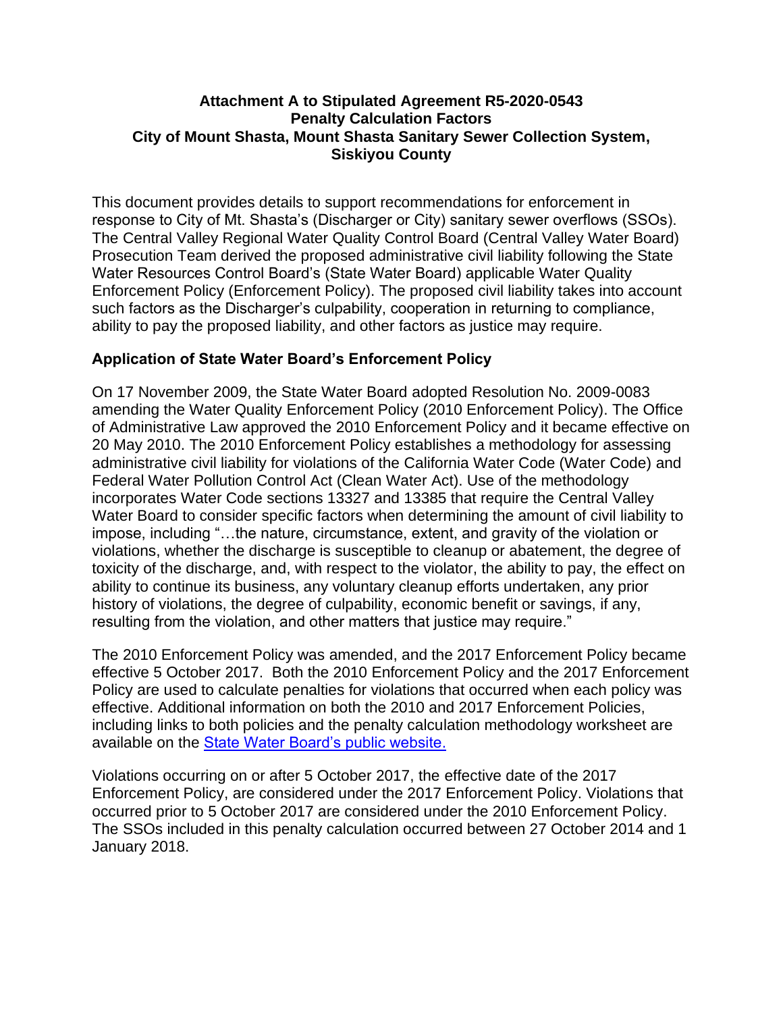## **Attachment A to Stipulated Agreement R5-2020-0543 Penalty Calculation Factors City of Mount Shasta, Mount Shasta Sanitary Sewer Collection System, Siskiyou County**

This document provides details to support recommendations for enforcement in response to City of Mt. Shasta's (Discharger or City) sanitary sewer overflows (SSOs). The Central Valley Regional Water Quality Control Board (Central Valley Water Board) Prosecution Team derived the proposed administrative civil liability following the State Water Resources Control Board's (State Water Board) applicable Water Quality Enforcement Policy (Enforcement Policy). The proposed civil liability takes into account such factors as the Discharger's culpability, cooperation in returning to compliance, ability to pay the proposed liability, and other factors as justice may require.

## **Application of State Water Board's Enforcement Policy**

On 17 November 2009, the State Water Board adopted Resolution No. 2009-0083 amending the Water Quality Enforcement Policy (2010 Enforcement Policy). The Office of Administrative Law approved the 2010 Enforcement Policy and it became effective on 20 May 2010. The 2010 Enforcement Policy establishes a methodology for assessing administrative civil liability for violations of the California Water Code (Water Code) and Federal Water Pollution Control Act (Clean Water Act). Use of the methodology incorporates Water Code sections 13327 and 13385 that require the Central Valley Water Board to consider specific factors when determining the amount of civil liability to impose, including "…the nature, circumstance, extent, and gravity of the violation or violations, whether the discharge is susceptible to cleanup or abatement, the degree of toxicity of the discharge, and, with respect to the violator, the ability to pay, the effect on ability to continue its business, any voluntary cleanup efforts undertaken, any prior history of violations, the degree of culpability, economic benefit or savings, if any, resulting from the violation, and other matters that justice may require."

The 2010 Enforcement Policy was amended, and the 2017 Enforcement Policy became effective 5 October 2017. Both the 2010 Enforcement Policy and the 2017 Enforcement Policy are used to calculate penalties for violations that occurred when each policy was effective. Additional information on both the 2010 and 2017 Enforcement Policies, including links to both policies and the penalty calculation methodology worksheet are available on the **State Water Board's public website.** 

Violations occurring on or after 5 October 2017, the effective date of the 2017 Enforcement Policy, are considered under the 2017 Enforcement Policy. Violations that occurred prior to 5 October 2017 are considered under the 2010 Enforcement Policy. The SSOs included in this penalty calculation occurred between 27 October 2014 and 1 January 2018.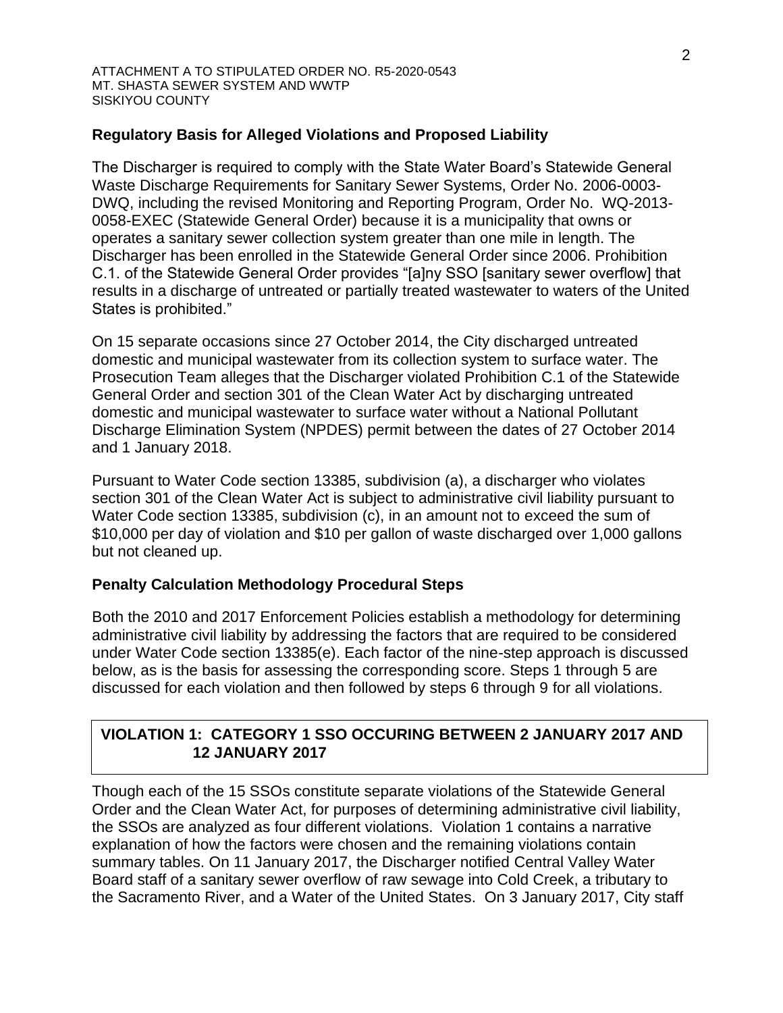## **Regulatory Basis for Alleged Violations and Proposed Liability**

The Discharger is required to comply with the State Water Board's Statewide General Waste Discharge Requirements for Sanitary Sewer Systems, Order No. 2006-0003- DWQ, including the revised Monitoring and Reporting Program, Order No. WQ-2013- 0058-EXEC (Statewide General Order) because it is a municipality that owns or operates a sanitary sewer collection system greater than one mile in length. The Discharger has been enrolled in the Statewide General Order since 2006. Prohibition C.1. of the Statewide General Order provides "[a]ny SSO [sanitary sewer overflow] that results in a discharge of untreated or partially treated wastewater to waters of the United States is prohibited."

On 15 separate occasions since 27 October 2014, the City discharged untreated domestic and municipal wastewater from its collection system to surface water. The Prosecution Team alleges that the Discharger violated Prohibition C.1 of the Statewide General Order and section 301 of the Clean Water Act by discharging untreated domestic and municipal wastewater to surface water without a National Pollutant Discharge Elimination System (NPDES) permit between the dates of 27 October 2014 and 1 January 2018.

Pursuant to Water Code section 13385, subdivision (a), a discharger who violates section 301 of the Clean Water Act is subject to administrative civil liability pursuant to Water Code section 13385, subdivision (c), in an amount not to exceed the sum of \$10,000 per day of violation and \$10 per gallon of waste discharged over 1,000 gallons but not cleaned up.

### **Penalty Calculation Methodology Procedural Steps**

Both the 2010 and 2017 Enforcement Policies establish a methodology for determining administrative civil liability by addressing the factors that are required to be considered under Water Code section 13385(e). Each factor of the nine-step approach is discussed below, as is the basis for assessing the corresponding score. Steps 1 through 5 are discussed for each violation and then followed by steps 6 through 9 for all violations.

## **VIOLATION 1: CATEGORY 1 SSO OCCURING BETWEEN 2 JANUARY 2017 AND 12 JANUARY 2017**

Though each of the 15 SSOs constitute separate violations of the Statewide General Order and the Clean Water Act, for purposes of determining administrative civil liability, the SSOs are analyzed as four different violations. Violation 1 contains a narrative explanation of how the factors were chosen and the remaining violations contain summary tables. On 11 January 2017, the Discharger notified Central Valley Water Board staff of a sanitary sewer overflow of raw sewage into Cold Creek, a tributary to the Sacramento River, and a Water of the United States. On 3 January 2017, City staff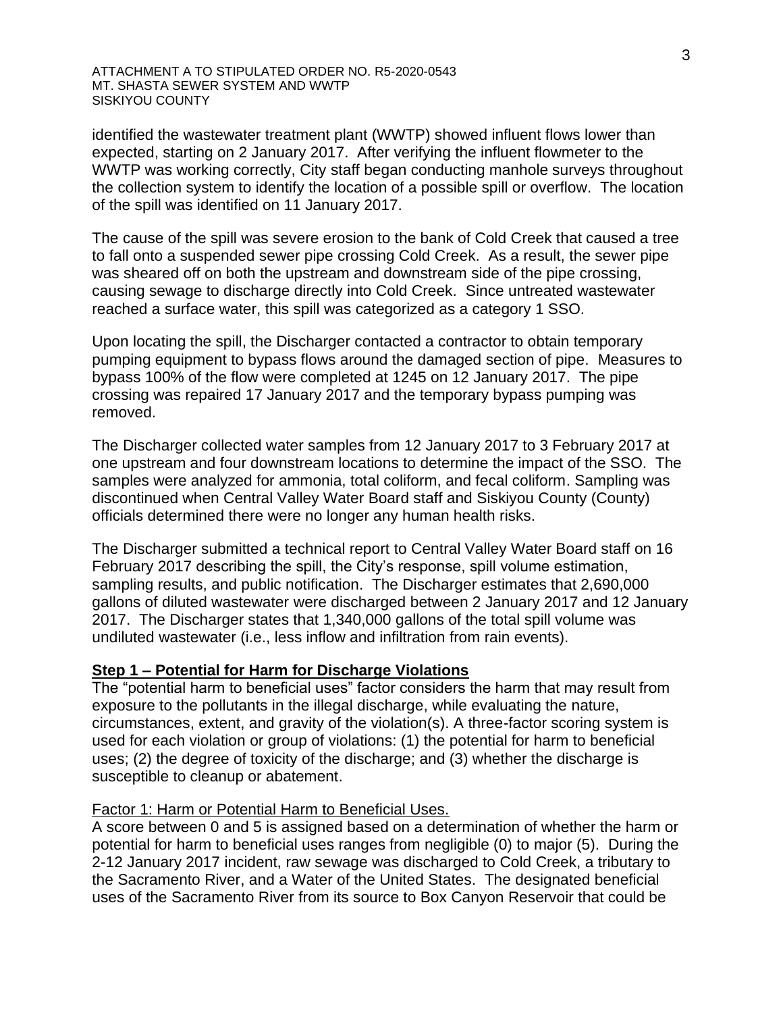identified the wastewater treatment plant (WWTP) showed influent flows lower than expected, starting on 2 January 2017. After verifying the influent flowmeter to the WWTP was working correctly, City staff began conducting manhole surveys throughout the collection system to identify the location of a possible spill or overflow. The location of the spill was identified on 11 January 2017.

The cause of the spill was severe erosion to the bank of Cold Creek that caused a tree to fall onto a suspended sewer pipe crossing Cold Creek. As a result, the sewer pipe was sheared off on both the upstream and downstream side of the pipe crossing, causing sewage to discharge directly into Cold Creek. Since untreated wastewater reached a surface water, this spill was categorized as a category 1 SSO.

Upon locating the spill, the Discharger contacted a contractor to obtain temporary pumping equipment to bypass flows around the damaged section of pipe. Measures to bypass 100% of the flow were completed at 1245 on 12 January 2017. The pipe crossing was repaired 17 January 2017 and the temporary bypass pumping was removed.

The Discharger collected water samples from 12 January 2017 to 3 February 2017 at one upstream and four downstream locations to determine the impact of the SSO. The samples were analyzed for ammonia, total coliform, and fecal coliform. Sampling was discontinued when Central Valley Water Board staff and Siskiyou County (County) officials determined there were no longer any human health risks.

The Discharger submitted a technical report to Central Valley Water Board staff on 16 February 2017 describing the spill, the City's response, spill volume estimation, sampling results, and public notification. The Discharger estimates that 2,690,000 gallons of diluted wastewater were discharged between 2 January 2017 and 12 January 2017. The Discharger states that 1,340,000 gallons of the total spill volume was undiluted wastewater (i.e., less inflow and infiltration from rain events).

### **Step 1 – Potential for Harm for Discharge Violations**

The "potential harm to beneficial uses" factor considers the harm that may result from exposure to the pollutants in the illegal discharge, while evaluating the nature, circumstances, extent, and gravity of the violation(s). A three-factor scoring system is used for each violation or group of violations: (1) the potential for harm to beneficial uses; (2) the degree of toxicity of the discharge; and (3) whether the discharge is susceptible to cleanup or abatement.

### Factor 1: Harm or Potential Harm to Beneficial Uses.

A score between 0 and 5 is assigned based on a determination of whether the harm or potential for harm to beneficial uses ranges from negligible (0) to major (5). During the 2-12 January 2017 incident, raw sewage was discharged to Cold Creek, a tributary to the Sacramento River, and a Water of the United States. The designated beneficial uses of the Sacramento River from its source to Box Canyon Reservoir that could be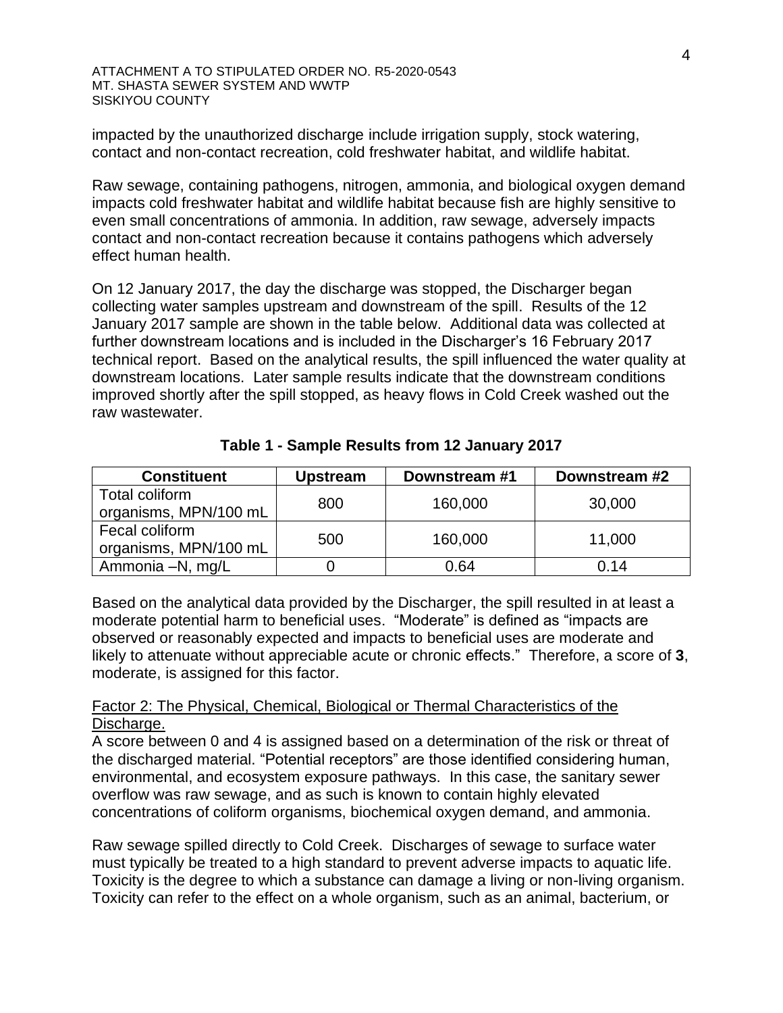impacted by the unauthorized discharge include irrigation supply, stock watering, contact and non-contact recreation, cold freshwater habitat, and wildlife habitat.

Raw sewage, containing pathogens, nitrogen, ammonia, and biological oxygen demand impacts cold freshwater habitat and wildlife habitat because fish are highly sensitive to even small concentrations of ammonia. In addition, raw sewage, adversely impacts contact and non-contact recreation because it contains pathogens which adversely effect human health.

On 12 January 2017, the day the discharge was stopped, the Discharger began collecting water samples upstream and downstream of the spill. Results of the 12 January 2017 sample are shown in the table below. Additional data was collected at further downstream locations and is included in the Discharger's 16 February 2017 technical report. Based on the analytical results, the spill influenced the water quality at downstream locations. Later sample results indicate that the downstream conditions improved shortly after the spill stopped, as heavy flows in Cold Creek washed out the raw wastewater.

| <b>Constituent</b>    | <b>Upstream</b> | Downstream #1 | Downstream #2 |
|-----------------------|-----------------|---------------|---------------|
| Total coliform        | 800             | 160,000       | 30,000        |
| organisms, MPN/100 mL |                 |               |               |
| Fecal coliform        | 500             | 160,000       | 11,000        |
| organisms, MPN/100 mL |                 |               |               |
| Ammonia -N, mg/L      |                 | 0.64          | 0.14          |

**Table 1 - Sample Results from 12 January 2017** 

Based on the analytical data provided by the Discharger, the spill resulted in at least a moderate potential harm to beneficial uses. "Moderate" is defined as "impacts are observed or reasonably expected and impacts to beneficial uses are moderate and likely to attenuate without appreciable acute or chronic effects." Therefore, a score of **3**, moderate, is assigned for this factor.

## Factor 2: The Physical, Chemical, Biological or Thermal Characteristics of the Discharge.

A score between 0 and 4 is assigned based on a determination of the risk or threat of the discharged material. "Potential receptors" are those identified considering human, environmental, and ecosystem exposure pathways. In this case, the sanitary sewer overflow was raw sewage, and as such is known to contain highly elevated concentrations of coliform organisms, biochemical oxygen demand, and ammonia.

Raw sewage spilled directly to Cold Creek. Discharges of sewage to surface water must typically be treated to a high standard to prevent adverse impacts to aquatic life. Toxicity is the degree to which a substance can damage a living or non-living organism. Toxicity can refer to the effect on a whole organism, such as an animal, bacterium, or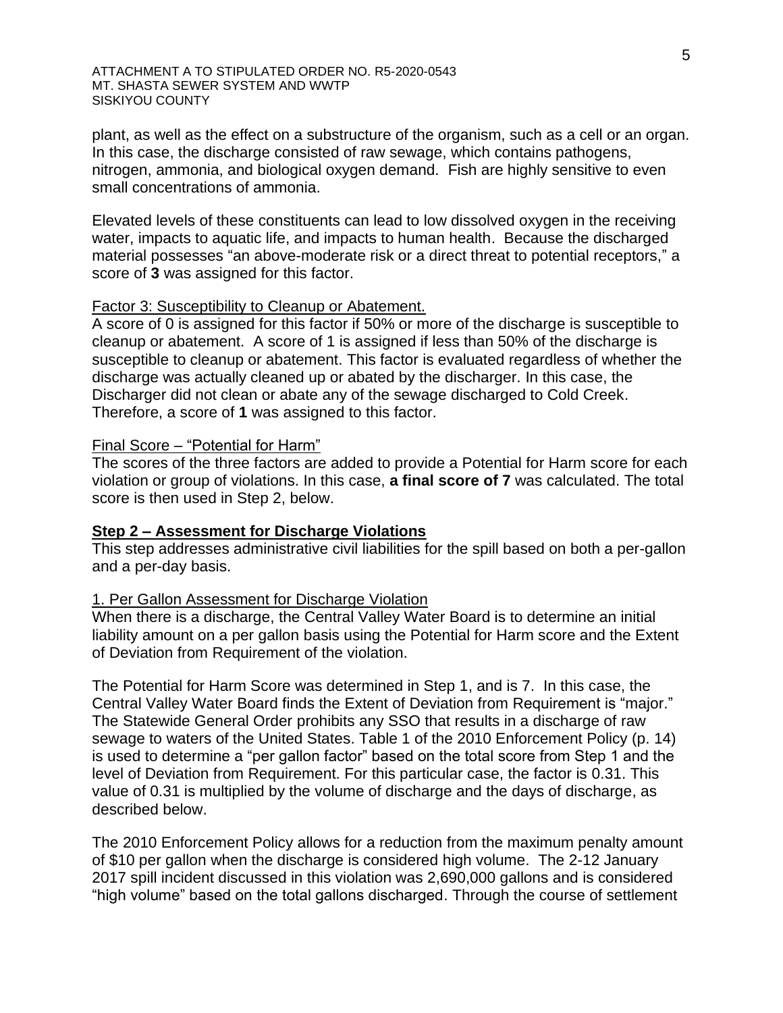plant, as well as the effect on a substructure of the organism, such as a cell or an organ. In this case, the discharge consisted of raw sewage, which contains pathogens, nitrogen, ammonia, and biological oxygen demand. Fish are highly sensitive to even small concentrations of ammonia.

Elevated levels of these constituents can lead to low dissolved oxygen in the receiving water, impacts to aquatic life, and impacts to human health. Because the discharged material possesses "an above-moderate risk or a direct threat to potential receptors," a score of **3** was assigned for this factor.

#### Factor 3: Susceptibility to Cleanup or Abatement.

A score of 0 is assigned for this factor if 50% or more of the discharge is susceptible to cleanup or abatement. A score of 1 is assigned if less than 50% of the discharge is susceptible to cleanup or abatement. This factor is evaluated regardless of whether the discharge was actually cleaned up or abated by the discharger. In this case, the Discharger did not clean or abate any of the sewage discharged to Cold Creek. Therefore, a score of **1** was assigned to this factor.

#### Final Score – "Potential for Harm"

The scores of the three factors are added to provide a Potential for Harm score for each violation or group of violations. In this case, **a final score of 7** was calculated. The total score is then used in Step 2, below.

### **Step 2 – Assessment for Discharge Violations**

This step addresses administrative civil liabilities for the spill based on both a per-gallon and a per-day basis.

#### 1. Per Gallon Assessment for Discharge Violation

When there is a discharge, the Central Valley Water Board is to determine an initial liability amount on a per gallon basis using the Potential for Harm score and the Extent of Deviation from Requirement of the violation.

The Potential for Harm Score was determined in Step 1, and is 7. In this case, the Central Valley Water Board finds the Extent of Deviation from Requirement is "major." The Statewide General Order prohibits any SSO that results in a discharge of raw sewage to waters of the United States. Table 1 of the 2010 Enforcement Policy (p. 14) is used to determine a "per gallon factor" based on the total score from Step 1 and the level of Deviation from Requirement. For this particular case, the factor is 0.31. This value of 0.31 is multiplied by the volume of discharge and the days of discharge, as described below.

The 2010 Enforcement Policy allows for a reduction from the maximum penalty amount of \$10 per gallon when the discharge is considered high volume. The 2-12 January 2017 spill incident discussed in this violation was 2,690,000 gallons and is considered "high volume" based on the total gallons discharged. Through the course of settlement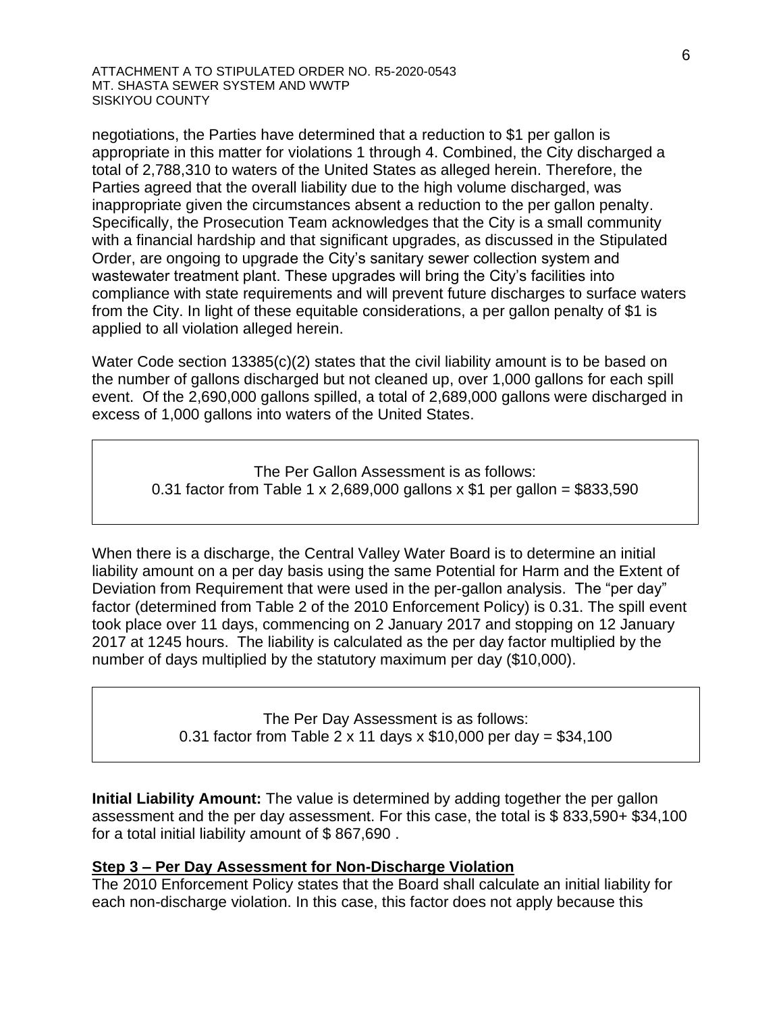negotiations, the Parties have determined that a reduction to \$1 per gallon is appropriate in this matter for violations 1 through 4. Combined, the City discharged a total of 2,788,310 to waters of the United States as alleged herein. Therefore, the Parties agreed that the overall liability due to the high volume discharged, was inappropriate given the circumstances absent a reduction to the per gallon penalty. Specifically, the Prosecution Team acknowledges that the City is a small community with a financial hardship and that significant upgrades, as discussed in the Stipulated Order, are ongoing to upgrade the City's sanitary sewer collection system and wastewater treatment plant. These upgrades will bring the City's facilities into compliance with state requirements and will prevent future discharges to surface waters from the City. In light of these equitable considerations, a per gallon penalty of \$1 is applied to all violation alleged herein.

Water Code section 13385(c)(2) states that the civil liability amount is to be based on the number of gallons discharged but not cleaned up, over 1,000 gallons for each spill event. Of the 2,690,000 gallons spilled, a total of 2,689,000 gallons were discharged in excess of 1,000 gallons into waters of the United States.

 $2.5$  Per Passer from Table T  $\lambda$   $\mathsf{2,000,000}$ The Per Gallon Assessment is as follows: 0.31 factor from Table 1 x 2,689,000 gallons x \$1 per gallon = \$833,590

When there is a discharge, the Central Valley Water Board is to determine an initial liability amount on a per day basis using the same Potential for Harm and the Extent of Deviation from Requirement that were used in the per-gallon analysis. The "per day" factor (determined from Table 2 of the 2010 Enforcement Policy) is 0.31. The spill event took place over 11 days, commencing on 2 January 2017 and stopping on 12 January 2017 at 1245 hours. The liability is calculated as the per day factor multiplied by the number of days multiplied by the statutory maximum per day (\$10,000).

> The Per Day Assessment is as follows: 0.31 factor from Table 2 x 11 days x  $$10,000$  per day =  $$34,100$

**Initial Liability Amount:** The value is determined by adding together the per gallon assessment and the per day assessment. For this case, the total is \$ 833,590+ \$34,100 for a total initial liability amount of \$ 867,690 .

## **Step 3 – Per Day Assessment for Non-Discharge Violation**

The 2010 Enforcement Policy states that the Board shall calculate an initial liability for each non-discharge violation. In this case, this factor does not apply because this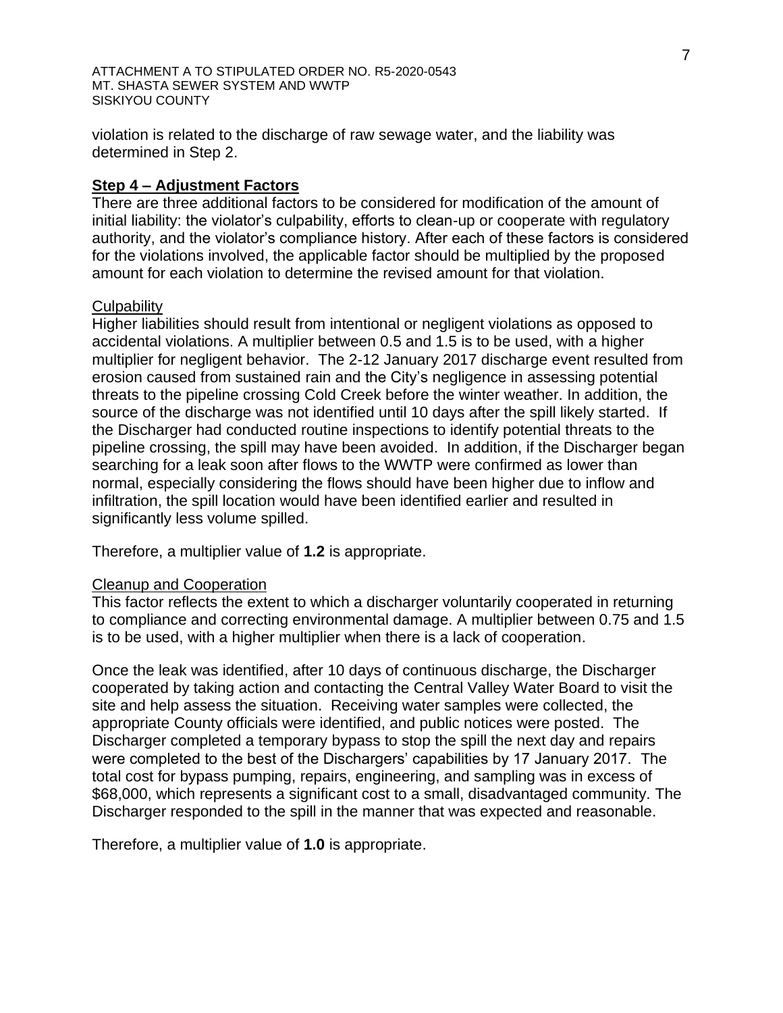violation is related to the discharge of raw sewage water, and the liability was determined in Step 2.

## **Step 4 – Adjustment Factors**

There are three additional factors to be considered for modification of the amount of initial liability: the violator's culpability, efforts to clean-up or cooperate with regulatory authority, and the violator's compliance history. After each of these factors is considered for the violations involved, the applicable factor should be multiplied by the proposed amount for each violation to determine the revised amount for that violation.

#### **Culpability**

Higher liabilities should result from intentional or negligent violations as opposed to accidental violations. A multiplier between 0.5 and 1.5 is to be used, with a higher multiplier for negligent behavior. The 2-12 January 2017 discharge event resulted from erosion caused from sustained rain and the City's negligence in assessing potential threats to the pipeline crossing Cold Creek before the winter weather. In addition, the source of the discharge was not identified until 10 days after the spill likely started. If the Discharger had conducted routine inspections to identify potential threats to the pipeline crossing, the spill may have been avoided. In addition, if the Discharger began searching for a leak soon after flows to the WWTP were confirmed as lower than normal, especially considering the flows should have been higher due to inflow and infiltration, the spill location would have been identified earlier and resulted in significantly less volume spilled.

Therefore, a multiplier value of **1.2** is appropriate.

### Cleanup and Cooperation

This factor reflects the extent to which a discharger voluntarily cooperated in returning to compliance and correcting environmental damage. A multiplier between 0.75 and 1.5 is to be used, with a higher multiplier when there is a lack of cooperation.

Once the leak was identified, after 10 days of continuous discharge, the Discharger cooperated by taking action and contacting the Central Valley Water Board to visit the site and help assess the situation. Receiving water samples were collected, the appropriate County officials were identified, and public notices were posted. The Discharger completed a temporary bypass to stop the spill the next day and repairs were completed to the best of the Dischargers' capabilities by 17 January 2017. The total cost for bypass pumping, repairs, engineering, and sampling was in excess of \$68,000, which represents a significant cost to a small, disadvantaged community. The Discharger responded to the spill in the manner that was expected and reasonable.

Therefore, a multiplier value of **1.0** is appropriate.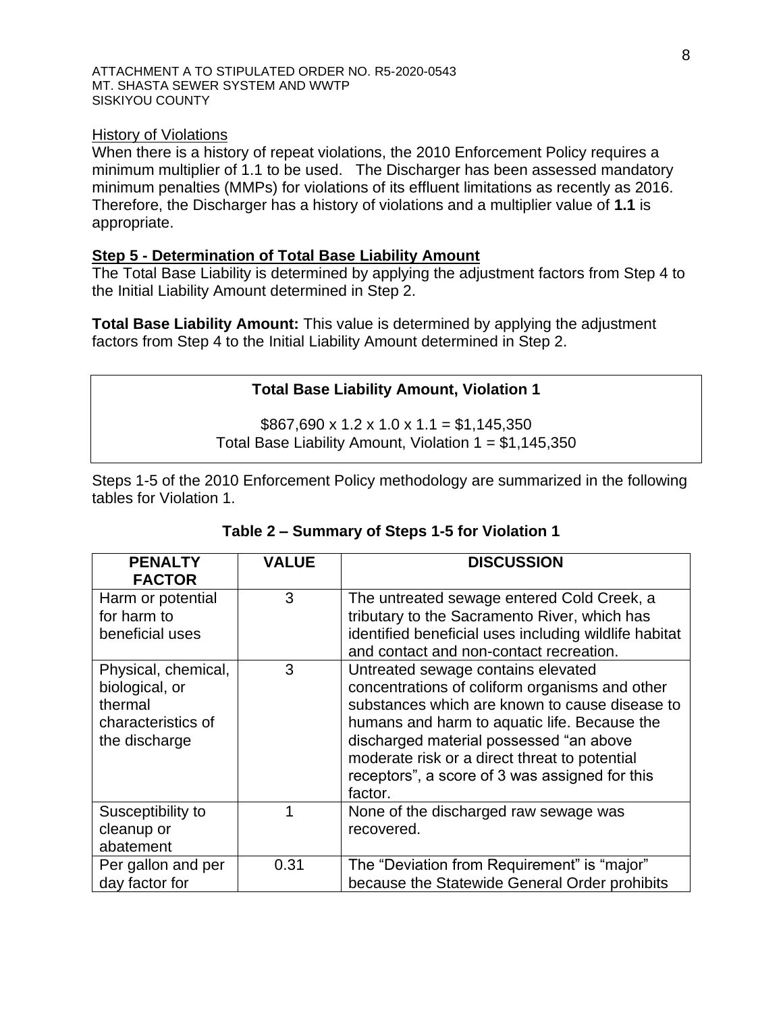#### History of Violations

When there is a history of repeat violations, the 2010 Enforcement Policy requires a minimum multiplier of 1.1 to be used. The Discharger has been assessed mandatory minimum penalties (MMPs) for violations of its effluent limitations as recently as 2016. Therefore, the Discharger has a history of violations and a multiplier value of **1.1** is appropriate.

## **Step 5 - Determination of Total Base Liability Amount**

The Total Base Liability is determined by applying the adjustment factors from Step 4 to the Initial Liability Amount determined in Step 2.

**Total Base Liability Amount:** This value is determined by applying the adjustment factors from Step 4 to the Initial Liability Amount determined in Step 2.

## **Total Base Liability Amount, Violation 1**

 $$867,690 \times 1.2 \times 1.0 \times 1.1 = $1,145,350$ Total Base Liability Amount, Violation  $1 = $1,145,350$ 

Steps 1-5 of the 2010 Enforcement Policy methodology are summarized in the following tables for Violation 1.

| <b>PENALTY</b><br><b>FACTOR</b>                                                         | <b>VALUE</b> | <b>DISCUSSION</b>                                                                                                                                                                                                                                                                                                                               |
|-----------------------------------------------------------------------------------------|--------------|-------------------------------------------------------------------------------------------------------------------------------------------------------------------------------------------------------------------------------------------------------------------------------------------------------------------------------------------------|
| Harm or potential<br>for harm to<br>beneficial uses                                     | 3            | The untreated sewage entered Cold Creek, a<br>tributary to the Sacramento River, which has<br>identified beneficial uses including wildlife habitat<br>and contact and non-contact recreation.                                                                                                                                                  |
| Physical, chemical,<br>biological, or<br>thermal<br>characteristics of<br>the discharge | 3            | Untreated sewage contains elevated<br>concentrations of coliform organisms and other<br>substances which are known to cause disease to<br>humans and harm to aquatic life. Because the<br>discharged material possessed "an above<br>moderate risk or a direct threat to potential<br>receptors", a score of 3 was assigned for this<br>factor. |
| Susceptibility to<br>cleanup or<br>abatement                                            | 1            | None of the discharged raw sewage was<br>recovered.                                                                                                                                                                                                                                                                                             |
| Per gallon and per<br>day factor for                                                    | 0.31         | The "Deviation from Requirement" is "major"<br>because the Statewide General Order prohibits                                                                                                                                                                                                                                                    |

## **Table 2 – Summary of Steps 1-5 for Violation 1**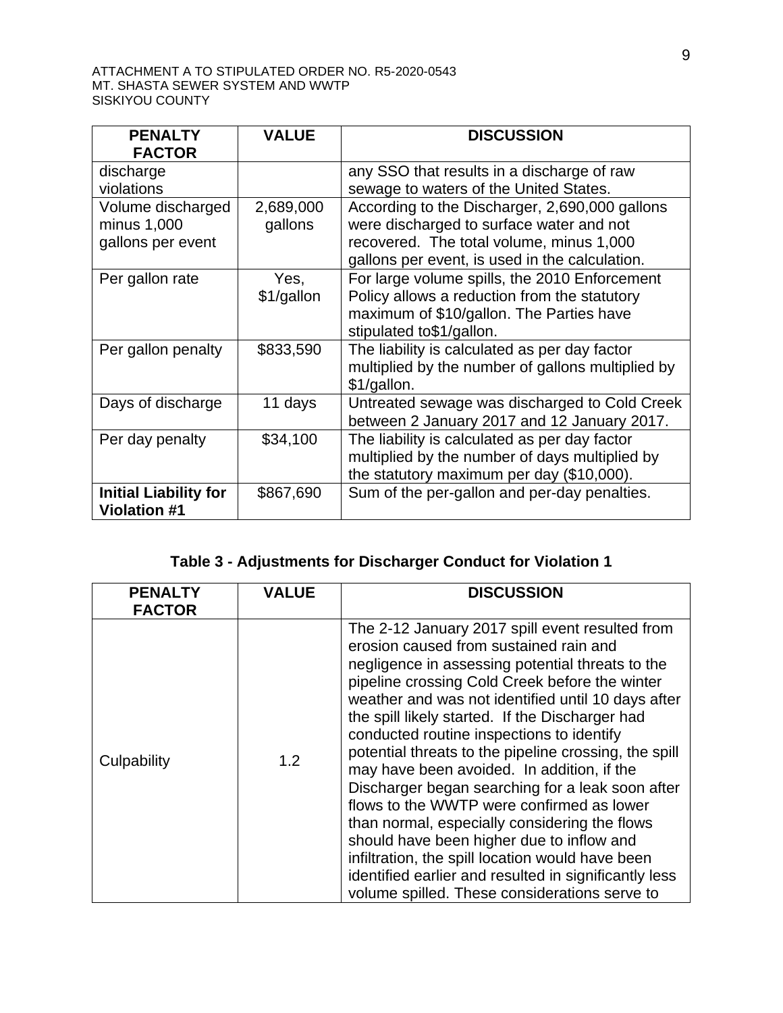| <b>PENALTY</b><br><b>FACTOR</b>                       | <b>VALUE</b>         | <b>DISCUSSION</b>                                                                                                                                                                        |
|-------------------------------------------------------|----------------------|------------------------------------------------------------------------------------------------------------------------------------------------------------------------------------------|
| discharge<br>violations                               |                      | any SSO that results in a discharge of raw<br>sewage to waters of the United States.                                                                                                     |
| Volume discharged<br>minus 1,000<br>gallons per event | 2,689,000<br>gallons | According to the Discharger, 2,690,000 gallons<br>were discharged to surface water and not<br>recovered. The total volume, minus 1,000<br>gallons per event, is used in the calculation. |
| Per gallon rate                                       | Yes,<br>\$1/gallon   | For large volume spills, the 2010 Enforcement<br>Policy allows a reduction from the statutory<br>maximum of \$10/gallon. The Parties have<br>stipulated to\$1/gallon.                    |
| Per gallon penalty                                    | \$833,590            | The liability is calculated as per day factor<br>multiplied by the number of gallons multiplied by<br>\$1/gallon.                                                                        |
| Days of discharge                                     | 11 days              | Untreated sewage was discharged to Cold Creek<br>between 2 January 2017 and 12 January 2017.                                                                                             |
| Per day penalty                                       | \$34,100             | The liability is calculated as per day factor<br>multiplied by the number of days multiplied by<br>the statutory maximum per day (\$10,000).                                             |
| <b>Initial Liability for</b><br><b>Violation #1</b>   | \$867,690            | Sum of the per-gallon and per-day penalties.                                                                                                                                             |

# **Table 3 - Adjustments for Discharger Conduct for Violation 1**

| <b>PENALTY</b><br><b>FACTOR</b> | <b>VALUE</b> | <b>DISCUSSION</b>                                                                                                                                                                                                                                                                                                                                                                                                                                                                                                                                                                                                                                                                                                                                                                                                         |
|---------------------------------|--------------|---------------------------------------------------------------------------------------------------------------------------------------------------------------------------------------------------------------------------------------------------------------------------------------------------------------------------------------------------------------------------------------------------------------------------------------------------------------------------------------------------------------------------------------------------------------------------------------------------------------------------------------------------------------------------------------------------------------------------------------------------------------------------------------------------------------------------|
| Culpability                     | 1.2          | The 2-12 January 2017 spill event resulted from<br>erosion caused from sustained rain and<br>negligence in assessing potential threats to the<br>pipeline crossing Cold Creek before the winter<br>weather and was not identified until 10 days after<br>the spill likely started. If the Discharger had<br>conducted routine inspections to identify<br>potential threats to the pipeline crossing, the spill<br>may have been avoided. In addition, if the<br>Discharger began searching for a leak soon after<br>flows to the WWTP were confirmed as lower<br>than normal, especially considering the flows<br>should have been higher due to inflow and<br>infiltration, the spill location would have been<br>identified earlier and resulted in significantly less<br>volume spilled. These considerations serve to |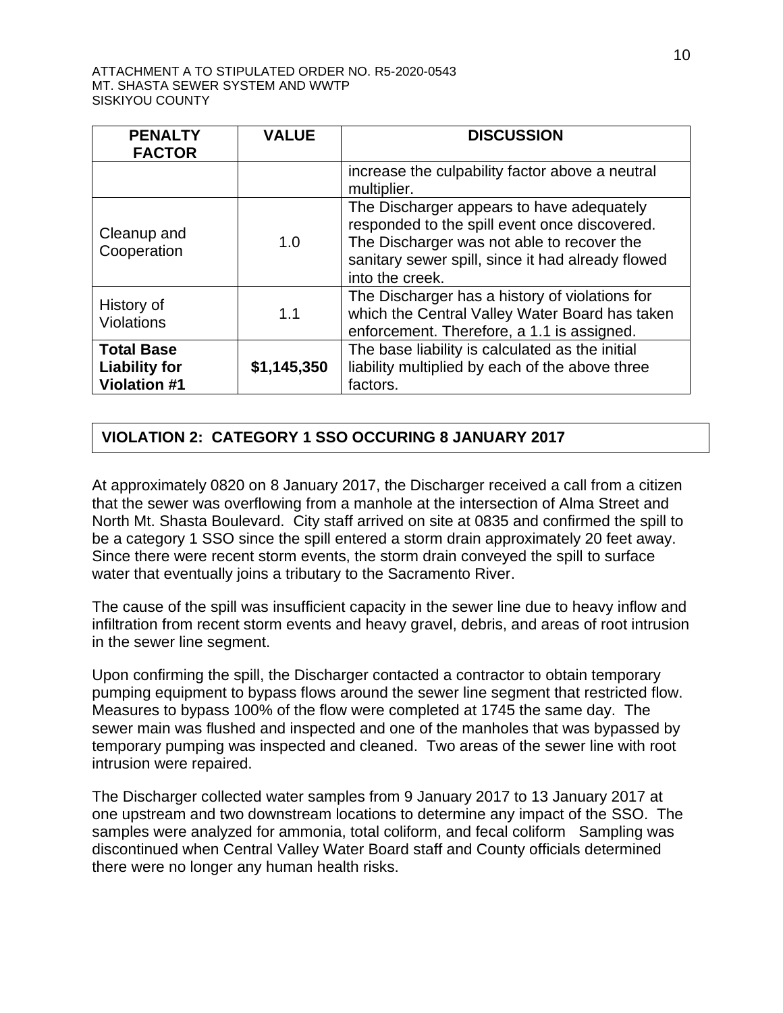| <b>PENALTY</b><br><b>FACTOR</b>                                  | <b>VALUE</b> | <b>DISCUSSION</b>                                                                                                                                                                                                |
|------------------------------------------------------------------|--------------|------------------------------------------------------------------------------------------------------------------------------------------------------------------------------------------------------------------|
|                                                                  |              | increase the culpability factor above a neutral<br>multiplier.                                                                                                                                                   |
| Cleanup and<br>Cooperation                                       | 1.0          | The Discharger appears to have adequately<br>responded to the spill event once discovered.<br>The Discharger was not able to recover the<br>sanitary sewer spill, since it had already flowed<br>into the creek. |
| History of<br><b>Violations</b>                                  | 1.1          | The Discharger has a history of violations for<br>which the Central Valley Water Board has taken<br>enforcement. Therefore, a 1.1 is assigned.                                                                   |
| <b>Total Base</b><br><b>Liability for</b><br><b>Violation #1</b> | \$1,145,350  | The base liability is calculated as the initial<br>liability multiplied by each of the above three<br>factors.                                                                                                   |

# **VIOLATION 2: CATEGORY 1 SSO OCCURING 8 JANUARY 2017**

At approximately 0820 on 8 January 2017, the Discharger received a call from a citizen that the sewer was overflowing from a manhole at the intersection of Alma Street and North Mt. Shasta Boulevard. City staff arrived on site at 0835 and confirmed the spill to be a category 1 SSO since the spill entered a storm drain approximately 20 feet away. Since there were recent storm events, the storm drain conveyed the spill to surface water that eventually joins a tributary to the Sacramento River.

The cause of the spill was insufficient capacity in the sewer line due to heavy inflow and infiltration from recent storm events and heavy gravel, debris, and areas of root intrusion in the sewer line segment.

Upon confirming the spill, the Discharger contacted a contractor to obtain temporary pumping equipment to bypass flows around the sewer line segment that restricted flow. Measures to bypass 100% of the flow were completed at 1745 the same day. The sewer main was flushed and inspected and one of the manholes that was bypassed by temporary pumping was inspected and cleaned. Two areas of the sewer line with root intrusion were repaired.

The Discharger collected water samples from 9 January 2017 to 13 January 2017 at one upstream and two downstream locations to determine any impact of the SSO. The samples were analyzed for ammonia, total coliform, and fecal coliform Sampling was discontinued when Central Valley Water Board staff and County officials determined there were no longer any human health risks.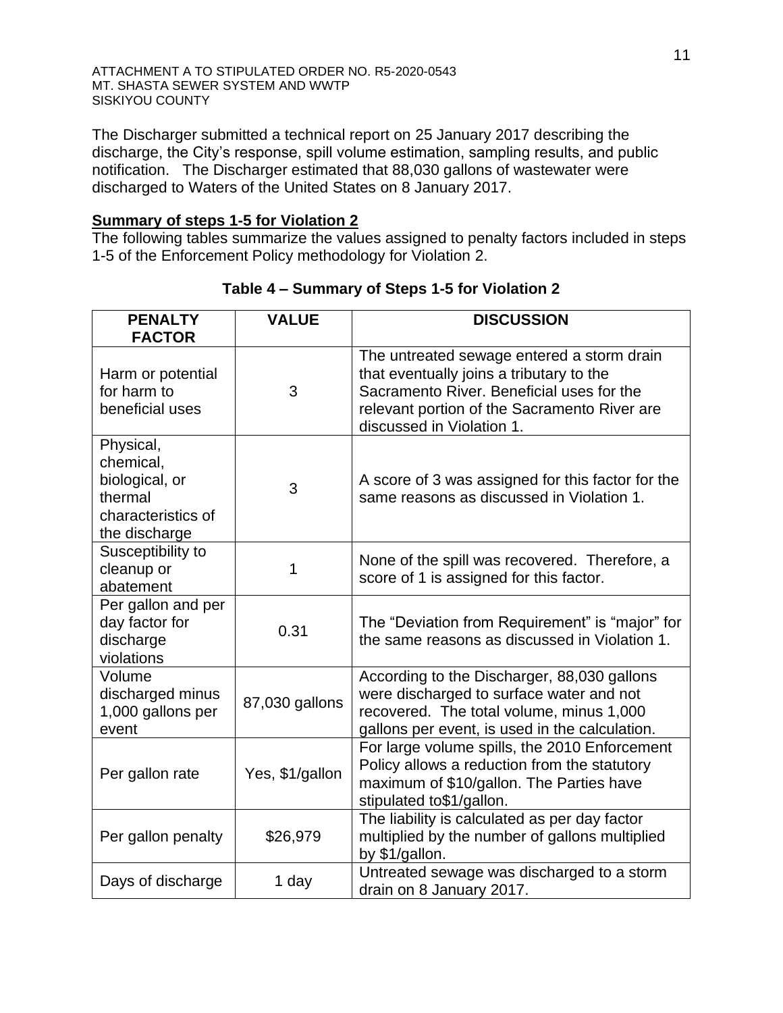The Discharger submitted a technical report on 25 January 2017 describing the discharge, the City's response, spill volume estimation, sampling results, and public notification. The Discharger estimated that 88,030 gallons of wastewater were discharged to Waters of the United States on 8 January 2017.

# **Summary of steps 1-5 for Violation 2**

The following tables summarize the values assigned to penalty factors included in steps 1-5 of the Enforcement Policy methodology for Violation 2.

| <b>PENALTY</b><br><b>FACTOR</b>                                                            | <b>VALUE</b>    | <b>DISCUSSION</b>                                                                                                                                                                                                |
|--------------------------------------------------------------------------------------------|-----------------|------------------------------------------------------------------------------------------------------------------------------------------------------------------------------------------------------------------|
| Harm or potential<br>for harm to<br>beneficial uses                                        | 3               | The untreated sewage entered a storm drain<br>that eventually joins a tributary to the<br>Sacramento River. Beneficial uses for the<br>relevant portion of the Sacramento River are<br>discussed in Violation 1. |
| Physical,<br>chemical,<br>biological, or<br>thermal<br>characteristics of<br>the discharge | 3               | A score of 3 was assigned for this factor for the<br>same reasons as discussed in Violation 1.                                                                                                                   |
| Susceptibility to<br>cleanup or<br>abatement                                               | 1               | None of the spill was recovered. Therefore, a<br>score of 1 is assigned for this factor.                                                                                                                         |
| Per gallon and per<br>day factor for<br>discharge<br>violations                            | 0.31            | The "Deviation from Requirement" is "major" for<br>the same reasons as discussed in Violation 1.                                                                                                                 |
| Volume<br>discharged minus<br>1,000 gallons per<br>event                                   | 87,030 gallons  | According to the Discharger, 88,030 gallons<br>were discharged to surface water and not<br>recovered. The total volume, minus 1,000<br>gallons per event, is used in the calculation.                            |
| Per gallon rate                                                                            | Yes, \$1/gallon | For large volume spills, the 2010 Enforcement<br>Policy allows a reduction from the statutory<br>maximum of \$10/gallon. The Parties have<br>stipulated to\$1/gallon.                                            |
| Per gallon penalty                                                                         | \$26,979        | The liability is calculated as per day factor<br>multiplied by the number of gallons multiplied<br>by \$1/gallon.                                                                                                |
| Days of discharge                                                                          | 1 day           | Untreated sewage was discharged to a storm<br>drain on 8 January 2017.                                                                                                                                           |

## **Table 4 – Summary of Steps 1-5 for Violation 2**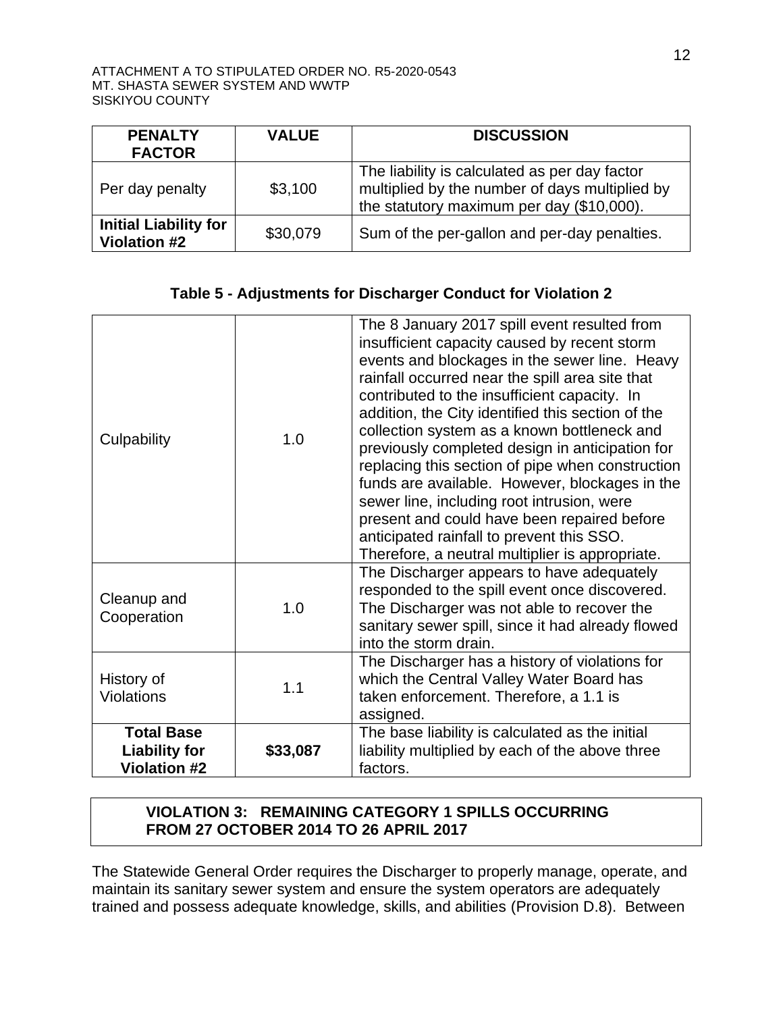| <b>PENALTY</b><br><b>FACTOR</b>                     | <b>VALUE</b> | <b>DISCUSSION</b>                                                                                                                            |
|-----------------------------------------------------|--------------|----------------------------------------------------------------------------------------------------------------------------------------------|
| Per day penalty                                     | \$3,100      | The liability is calculated as per day factor<br>multiplied by the number of days multiplied by<br>the statutory maximum per day (\$10,000). |
| <b>Initial Liability for</b><br><b>Violation #2</b> | \$30,079     | Sum of the per-gallon and per-day penalties.                                                                                                 |

## **Table 5 - Adjustments for Discharger Conduct for Violation 2**

| Culpability                                                      | 1.0      | The 8 January 2017 spill event resulted from<br>insufficient capacity caused by recent storm<br>events and blockages in the sewer line. Heavy<br>rainfall occurred near the spill area site that<br>contributed to the insufficient capacity. In<br>addition, the City identified this section of the<br>collection system as a known bottleneck and<br>previously completed design in anticipation for<br>replacing this section of pipe when construction<br>funds are available. However, blockages in the<br>sewer line, including root intrusion, were<br>present and could have been repaired before<br>anticipated rainfall to prevent this SSO.<br>Therefore, a neutral multiplier is appropriate. |
|------------------------------------------------------------------|----------|------------------------------------------------------------------------------------------------------------------------------------------------------------------------------------------------------------------------------------------------------------------------------------------------------------------------------------------------------------------------------------------------------------------------------------------------------------------------------------------------------------------------------------------------------------------------------------------------------------------------------------------------------------------------------------------------------------|
| Cleanup and<br>Cooperation                                       | 1.0      | The Discharger appears to have adequately<br>responded to the spill event once discovered.<br>The Discharger was not able to recover the<br>sanitary sewer spill, since it had already flowed<br>into the storm drain.                                                                                                                                                                                                                                                                                                                                                                                                                                                                                     |
| History of<br><b>Violations</b>                                  | 1.1      | The Discharger has a history of violations for<br>which the Central Valley Water Board has<br>taken enforcement. Therefore, a 1.1 is<br>assigned.                                                                                                                                                                                                                                                                                                                                                                                                                                                                                                                                                          |
| <b>Total Base</b><br><b>Liability for</b><br><b>Violation #2</b> | \$33,087 | The base liability is calculated as the initial<br>liability multiplied by each of the above three<br>factors.                                                                                                                                                                                                                                                                                                                                                                                                                                                                                                                                                                                             |

## **VIOLATION 3: REMAINING CATEGORY 1 SPILLS OCCURRING FROM 27 OCTOBER 2014 TO 26 APRIL 2017**

The Statewide General Order requires the Discharger to properly manage, operate, and maintain its sanitary sewer system and ensure the system operators are adequately trained and possess adequate knowledge, skills, and abilities (Provision D.8). Between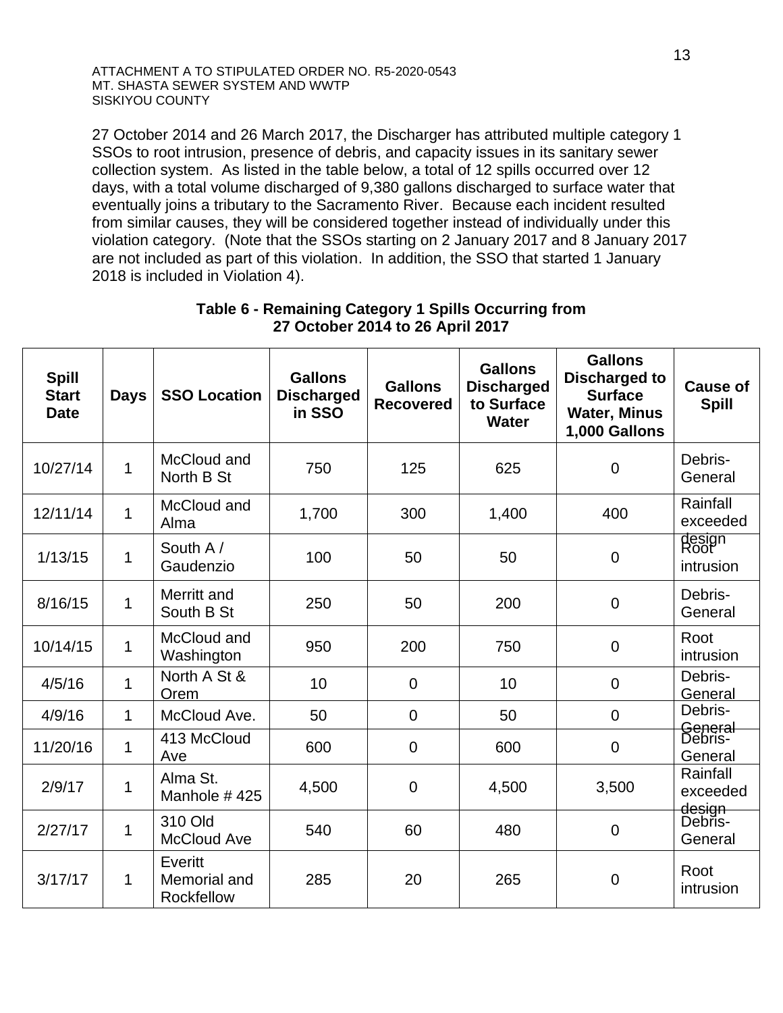27 October 2014 and 26 March 2017, the Discharger has attributed multiple category 1 SSOs to root intrusion, presence of debris, and capacity issues in its sanitary sewer collection system. As listed in the table below, a total of 12 spills occurred over 12 days, with a total volume discharged of 9,380 gallons discharged to surface water that eventually joins a tributary to the Sacramento River. Because each incident resulted from similar causes, they will be considered together instead of individually under this violation category. (Note that the SSOs starting on 2 January 2017 and 8 January 2017 are not included as part of this violation. In addition, the SSO that started 1 January 2018 is included in Violation 4).

| <b>Spill</b><br><b>Start</b><br><b>Date</b> | <b>Days</b>  | <b>SSO Location</b>                   | <b>Gallons</b><br><b>Discharged</b><br>in SSO | <b>Gallons</b><br><b>Recovered</b> | <b>Gallons</b><br><b>Discharged</b><br>to Surface<br><b>Water</b> | <b>Gallons</b><br><b>Discharged to</b><br><b>Surface</b><br><b>Water, Minus</b><br>1,000 Gallons | <b>Cause of</b><br><b>Spill</b>           |
|---------------------------------------------|--------------|---------------------------------------|-----------------------------------------------|------------------------------------|-------------------------------------------------------------------|--------------------------------------------------------------------------------------------------|-------------------------------------------|
| 10/27/14                                    | $\mathbf{1}$ | McCloud and<br>North B St             | 750                                           | 125                                | 625                                                               | $\mathbf 0$                                                                                      | Debris-<br>General                        |
| 12/11/14                                    | $\mathbf{1}$ | McCloud and<br>Alma                   | 1,700                                         | 300                                | 1,400                                                             | 400                                                                                              | Rainfall<br>exceeded                      |
| 1/13/15                                     | $\mathbf{1}$ | South A/<br>Gaudenzio                 | 100                                           | 50                                 | 50                                                                | $\mathbf 0$                                                                                      | design<br>Root<br>intrusion               |
| 8/16/15                                     | 1            | Merritt and<br>South B St             | 250                                           | 50                                 | 200                                                               | $\boldsymbol{0}$                                                                                 | Debris-<br>General                        |
| 10/14/15                                    | $\mathbf{1}$ | McCloud and<br>Washington             | 950                                           | 200                                | 750                                                               | $\mathbf 0$                                                                                      | Root<br>intrusion                         |
| 4/5/16                                      | $\mathbf{1}$ | North A St &<br>Orem                  | 10                                            | $\overline{0}$                     | 10                                                                | $\mathbf 0$                                                                                      | Debris-<br>General                        |
| 4/9/16                                      | $\mathbf 1$  | McCloud Ave.                          | 50                                            | $\overline{0}$                     | 50                                                                | $\mathbf 0$                                                                                      | Debris-                                   |
| 11/20/16                                    | $\mathbf{1}$ | 413 McCloud<br>Ave                    | 600                                           | $\overline{0}$                     | 600                                                               | $\mathbf 0$                                                                                      | <del>General</del><br>Debris-<br>General  |
| 2/9/17                                      | $\mathbf{1}$ | Alma St.<br>Manhole #425              | 4,500                                         | $\overline{0}$                     | 4,500                                                             | 3,500                                                                                            | Rainfall<br>exceeded                      |
| 2/27/17                                     | 1            | 310 Old<br><b>McCloud Ave</b>         | 540                                           | 60                                 | 480                                                               | $\mathbf 0$                                                                                      | <del>design<br/>D</del> ebris-<br>General |
| 3/17/17                                     | 1            | Everitt<br>Memorial and<br>Rockfellow | 285                                           | 20                                 | 265                                                               | $\mathbf 0$                                                                                      | Root<br>intrusion                         |

## **Table 6 - Remaining Category 1 Spills Occurring from 27 October 2014 to 26 April 2017**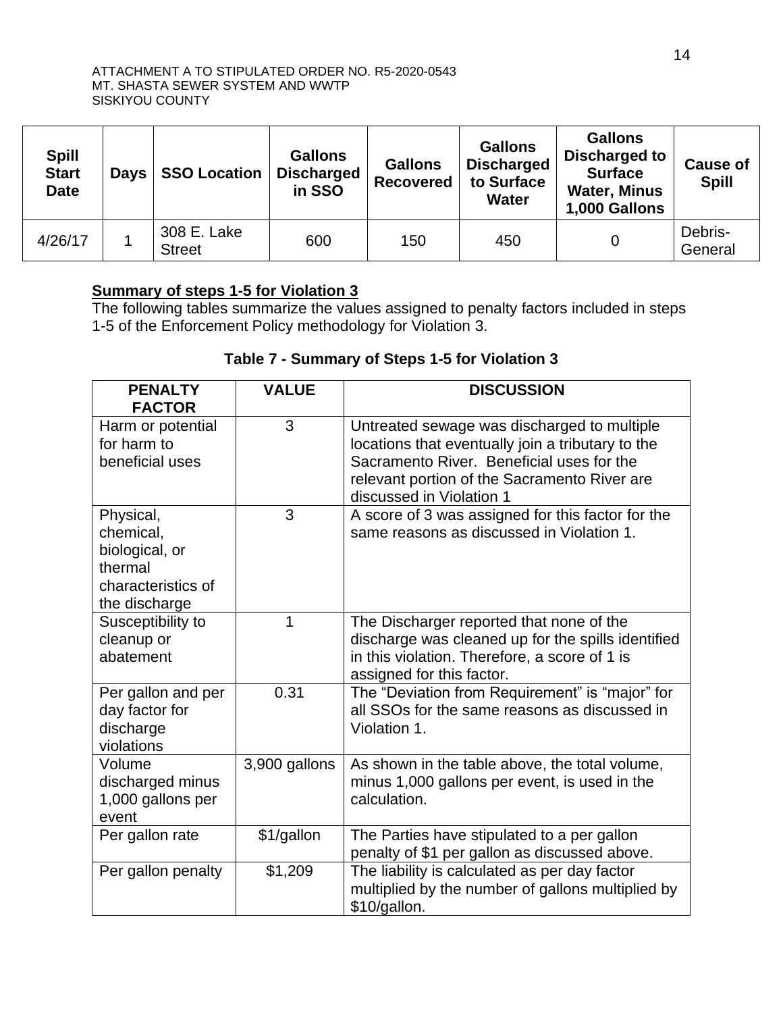| <b>Spill</b><br><b>Start</b><br><b>Date</b> | <b>Days</b> | <b>SSO Location</b>          | <b>Gallons</b><br><b>Discharged</b><br>in SSO | <b>Gallons</b><br><b>Recovered</b> | <b>Gallons</b><br><b>Discharged</b><br>to Surface<br><b>Water</b> | <b>Gallons</b><br>Discharged to<br><b>Surface</b><br><b>Water, Minus</b><br>1,000 Gallons | <b>Cause of</b><br><b>Spill</b> |
|---------------------------------------------|-------------|------------------------------|-----------------------------------------------|------------------------------------|-------------------------------------------------------------------|-------------------------------------------------------------------------------------------|---------------------------------|
| 4/26/17                                     |             | 308 E. Lake<br><b>Street</b> | 600                                           | 150                                | 450                                                               | 0                                                                                         | Debris-<br>General              |

## **Summary of steps 1-5 for Violation 3**

The following tables summarize the values assigned to penalty factors included in steps 1-5 of the Enforcement Policy methodology for Violation 3.

## **Table 7 - Summary of Steps 1-5 for Violation 3**

| <b>PENALTY</b><br><b>FACTOR</b>                                                            | <b>VALUE</b>  | <b>DISCUSSION</b>                                                                                                                                                                                                         |
|--------------------------------------------------------------------------------------------|---------------|---------------------------------------------------------------------------------------------------------------------------------------------------------------------------------------------------------------------------|
| Harm or potential<br>for harm to<br>beneficial uses                                        | 3             | Untreated sewage was discharged to multiple<br>locations that eventually join a tributary to the<br>Sacramento River. Beneficial uses for the<br>relevant portion of the Sacramento River are<br>discussed in Violation 1 |
| Physical,<br>chemical,<br>biological, or<br>thermal<br>characteristics of<br>the discharge | 3             | A score of 3 was assigned for this factor for the<br>same reasons as discussed in Violation 1.                                                                                                                            |
| Susceptibility to<br>cleanup or<br>abatement                                               | 1             | The Discharger reported that none of the<br>discharge was cleaned up for the spills identified<br>in this violation. Therefore, a score of 1 is<br>assigned for this factor.                                              |
| Per gallon and per<br>day factor for<br>discharge<br>violations                            | 0.31          | The "Deviation from Requirement" is "major" for<br>all SSOs for the same reasons as discussed in<br>Violation 1.                                                                                                          |
| Volume<br>discharged minus<br>1,000 gallons per<br>event                                   | 3,900 gallons | As shown in the table above, the total volume,<br>minus 1,000 gallons per event, is used in the<br>calculation.                                                                                                           |
| Per gallon rate                                                                            | \$1/gallon    | The Parties have stipulated to a per gallon<br>penalty of \$1 per gallon as discussed above.                                                                                                                              |
| Per gallon penalty                                                                         | \$1,209       | The liability is calculated as per day factor<br>multiplied by the number of gallons multiplied by<br>\$10/gallon.                                                                                                        |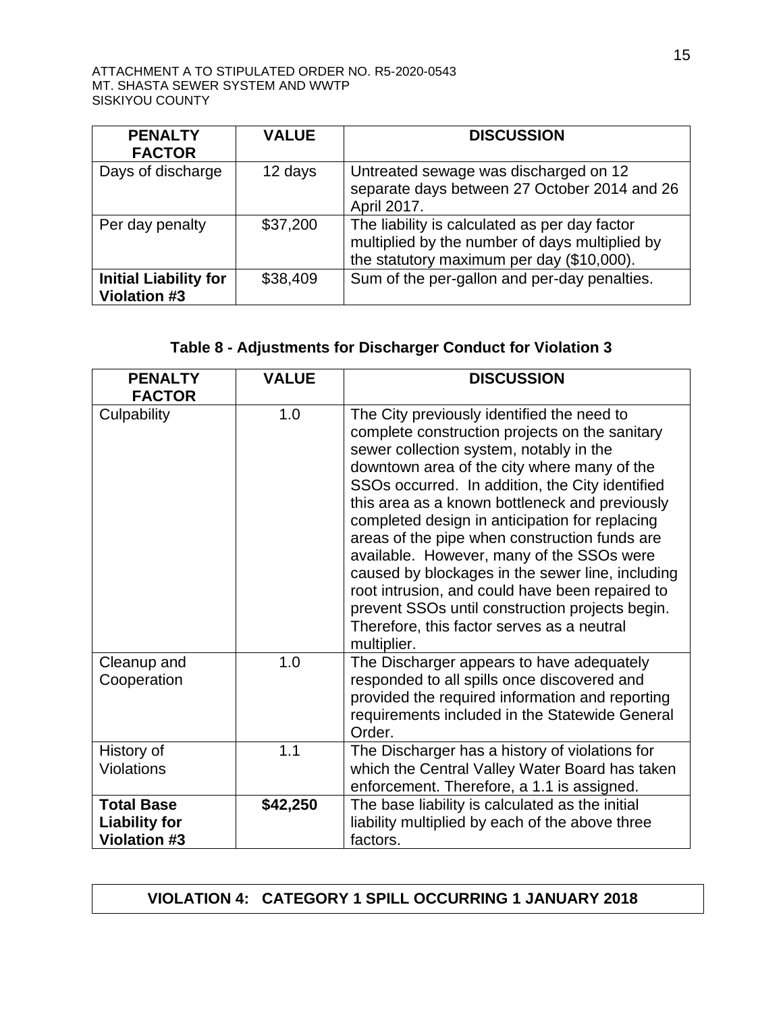| <b>PENALTY</b><br><b>FACTOR</b>                     | <b>VALUE</b> | <b>DISCUSSION</b>                                                                                                                            |
|-----------------------------------------------------|--------------|----------------------------------------------------------------------------------------------------------------------------------------------|
| Days of discharge                                   | 12 days      | Untreated sewage was discharged on 12<br>separate days between 27 October 2014 and 26<br>April 2017.                                         |
| Per day penalty                                     | \$37,200     | The liability is calculated as per day factor<br>multiplied by the number of days multiplied by<br>the statutory maximum per day (\$10,000). |
| <b>Initial Liability for</b><br><b>Violation #3</b> | \$38,409     | Sum of the per-gallon and per-day penalties.                                                                                                 |

# **Table 8 - Adjustments for Discharger Conduct for Violation 3**

| <b>PENALTY</b><br><b>FACTOR</b>                                  | <b>VALUE</b> | <b>DISCUSSION</b>                                                                                                                                                                                                                                                                                                                                                                                                                                                                                                                                                                                                                                                  |
|------------------------------------------------------------------|--------------|--------------------------------------------------------------------------------------------------------------------------------------------------------------------------------------------------------------------------------------------------------------------------------------------------------------------------------------------------------------------------------------------------------------------------------------------------------------------------------------------------------------------------------------------------------------------------------------------------------------------------------------------------------------------|
| Culpability                                                      | 1.0          | The City previously identified the need to<br>complete construction projects on the sanitary<br>sewer collection system, notably in the<br>downtown area of the city where many of the<br>SSOs occurred. In addition, the City identified<br>this area as a known bottleneck and previously<br>completed design in anticipation for replacing<br>areas of the pipe when construction funds are<br>available. However, many of the SSOs were<br>caused by blockages in the sewer line, including<br>root intrusion, and could have been repaired to<br>prevent SSOs until construction projects begin.<br>Therefore, this factor serves as a neutral<br>multiplier. |
| Cleanup and<br>Cooperation                                       | 1.0          | The Discharger appears to have adequately<br>responded to all spills once discovered and<br>provided the required information and reporting<br>requirements included in the Statewide General<br>Order.                                                                                                                                                                                                                                                                                                                                                                                                                                                            |
| History of<br>Violations                                         | 1.1          | The Discharger has a history of violations for<br>which the Central Valley Water Board has taken<br>enforcement. Therefore, a 1.1 is assigned.                                                                                                                                                                                                                                                                                                                                                                                                                                                                                                                     |
| <b>Total Base</b><br><b>Liability for</b><br><b>Violation #3</b> | \$42,250     | The base liability is calculated as the initial<br>liability multiplied by each of the above three<br>factors.                                                                                                                                                                                                                                                                                                                                                                                                                                                                                                                                                     |

# **VIOLATION 4: CATEGORY 1 SPILL OCCURRING 1 JANUARY 2018**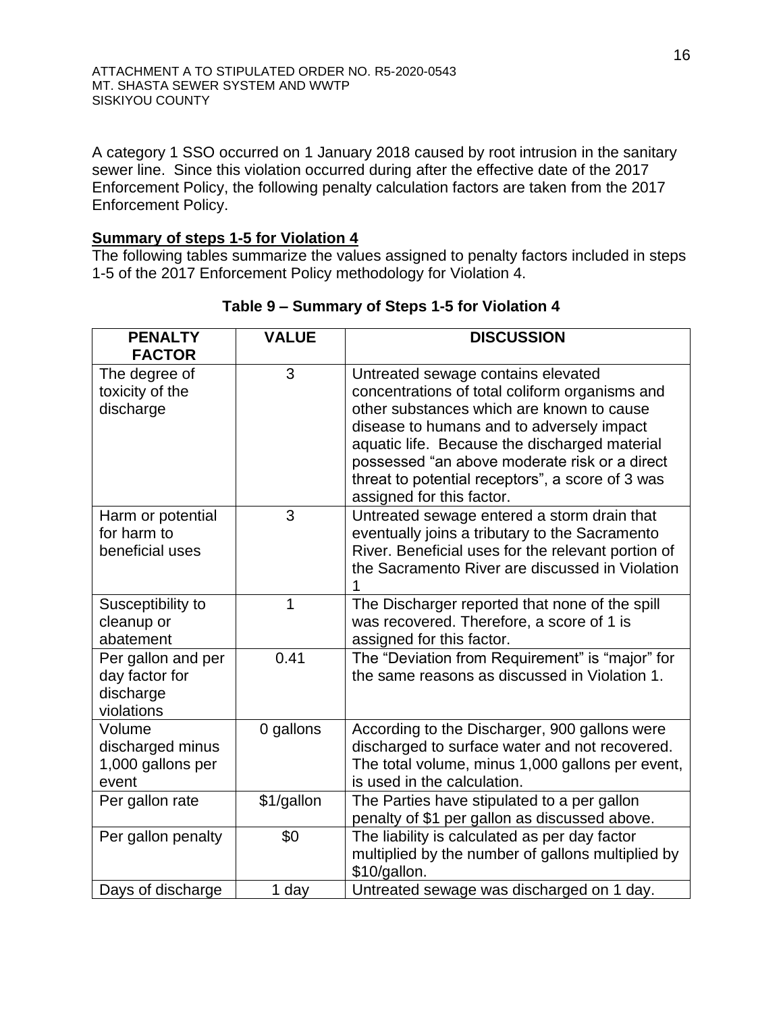A category 1 SSO occurred on 1 January 2018 caused by root intrusion in the sanitary sewer line. Since this violation occurred during after the effective date of the 2017 Enforcement Policy, the following penalty calculation factors are taken from the 2017 Enforcement Policy.

# **Summary of steps 1-5 for Violation 4**

The following tables summarize the values assigned to penalty factors included in steps 1-5 of the 2017 Enforcement Policy methodology for Violation 4.

| <b>PENALTY</b><br><b>FACTOR</b>                                 | <b>VALUE</b> | <b>DISCUSSION</b>                                                                                                                                                                                                                                                                                                                                                 |
|-----------------------------------------------------------------|--------------|-------------------------------------------------------------------------------------------------------------------------------------------------------------------------------------------------------------------------------------------------------------------------------------------------------------------------------------------------------------------|
| The degree of<br>toxicity of the<br>discharge                   | 3            | Untreated sewage contains elevated<br>concentrations of total coliform organisms and<br>other substances which are known to cause<br>disease to humans and to adversely impact<br>aquatic life. Because the discharged material<br>possessed "an above moderate risk or a direct<br>threat to potential receptors", a score of 3 was<br>assigned for this factor. |
| Harm or potential<br>for harm to<br>beneficial uses             | 3            | Untreated sewage entered a storm drain that<br>eventually joins a tributary to the Sacramento<br>River. Beneficial uses for the relevant portion of<br>the Sacramento River are discussed in Violation                                                                                                                                                            |
| Susceptibility to<br>cleanup or<br>abatement                    | 1            | The Discharger reported that none of the spill<br>was recovered. Therefore, a score of 1 is<br>assigned for this factor.                                                                                                                                                                                                                                          |
| Per gallon and per<br>day factor for<br>discharge<br>violations | 0.41         | The "Deviation from Requirement" is "major" for<br>the same reasons as discussed in Violation 1.                                                                                                                                                                                                                                                                  |
| Volume<br>discharged minus<br>1,000 gallons per<br>event        | 0 gallons    | According to the Discharger, 900 gallons were<br>discharged to surface water and not recovered.<br>The total volume, minus 1,000 gallons per event,<br>is used in the calculation.                                                                                                                                                                                |
| Per gallon rate                                                 | \$1/gallon   | The Parties have stipulated to a per gallon<br>penalty of \$1 per gallon as discussed above.                                                                                                                                                                                                                                                                      |
| Per gallon penalty                                              | \$0          | The liability is calculated as per day factor<br>multiplied by the number of gallons multiplied by<br>\$10/gallon.                                                                                                                                                                                                                                                |
| Days of discharge                                               | 1 day        | Untreated sewage was discharged on 1 day.                                                                                                                                                                                                                                                                                                                         |

## **Table 9 – Summary of Steps 1-5 for Violation 4**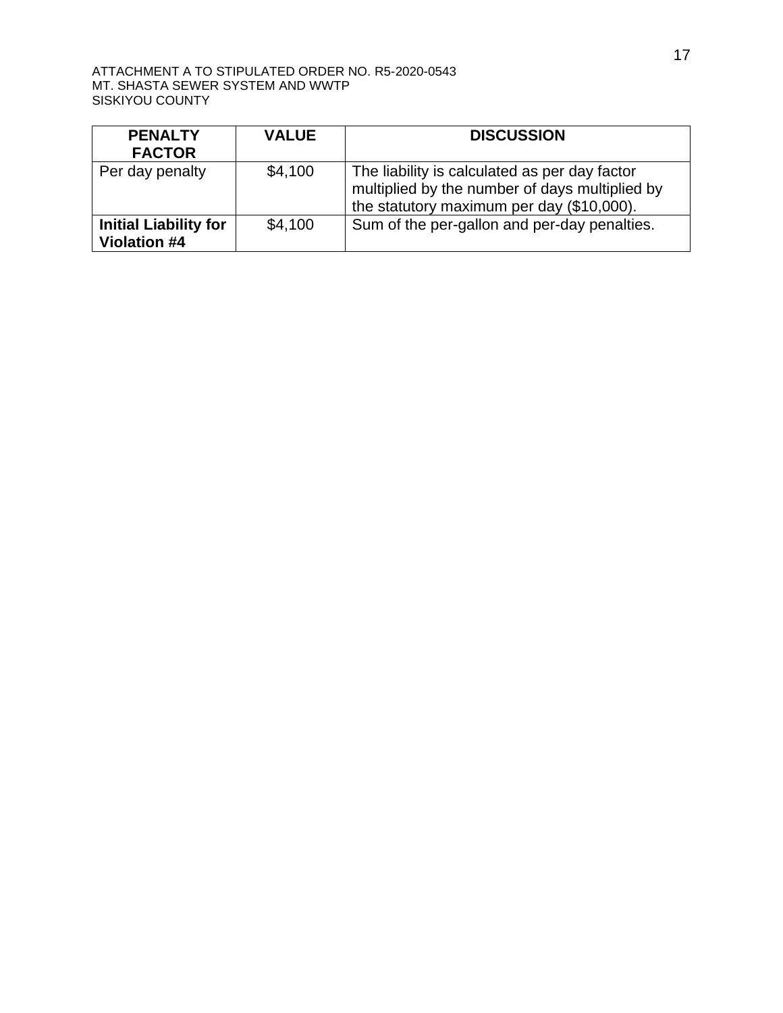| <b>PENALTY</b><br><b>FACTOR</b>                     | <b>VALUE</b> | <b>DISCUSSION</b>                                                                                                                            |
|-----------------------------------------------------|--------------|----------------------------------------------------------------------------------------------------------------------------------------------|
| Per day penalty                                     | \$4,100      | The liability is calculated as per day factor<br>multiplied by the number of days multiplied by<br>the statutory maximum per day (\$10,000). |
| <b>Initial Liability for</b><br><b>Violation #4</b> | \$4,100      | Sum of the per-gallon and per-day penalties.                                                                                                 |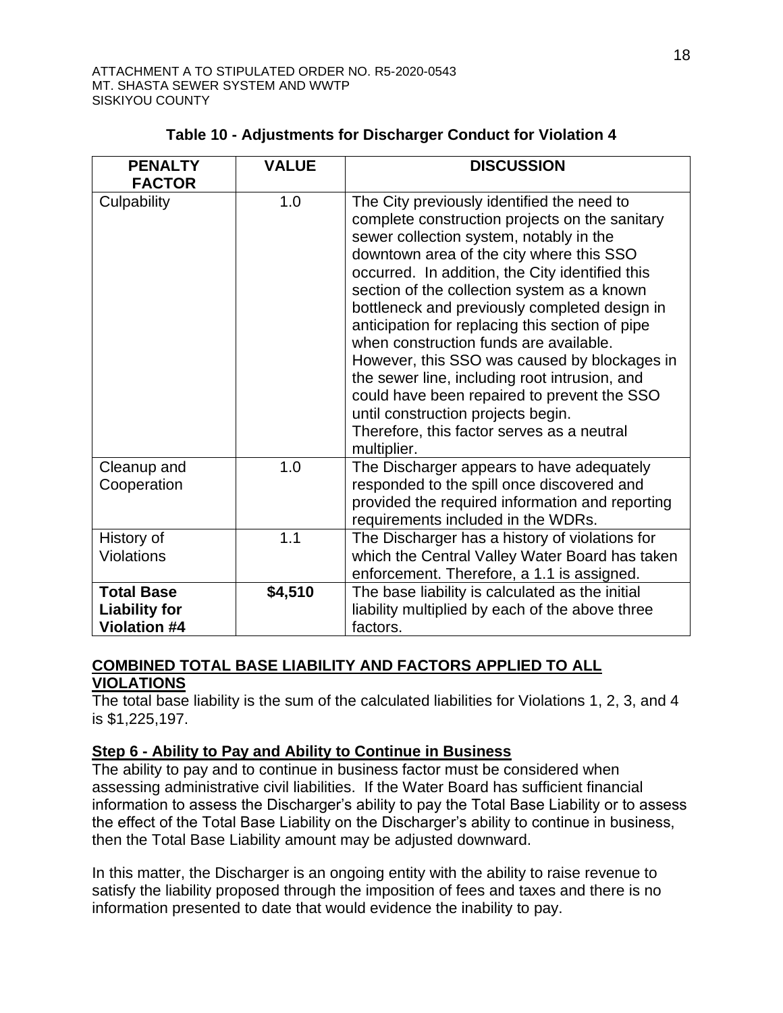| <b>PENALTY</b><br><b>FACTOR</b>                                  | <b>VALUE</b> | <b>DISCUSSION</b>                                                                                                                                                                                                                                                                                                                                                                                                                                                                                                                                                                                                                                                                      |
|------------------------------------------------------------------|--------------|----------------------------------------------------------------------------------------------------------------------------------------------------------------------------------------------------------------------------------------------------------------------------------------------------------------------------------------------------------------------------------------------------------------------------------------------------------------------------------------------------------------------------------------------------------------------------------------------------------------------------------------------------------------------------------------|
| Culpability                                                      | 1.0          | The City previously identified the need to<br>complete construction projects on the sanitary<br>sewer collection system, notably in the<br>downtown area of the city where this SSO<br>occurred. In addition, the City identified this<br>section of the collection system as a known<br>bottleneck and previously completed design in<br>anticipation for replacing this section of pipe<br>when construction funds are available.<br>However, this SSO was caused by blockages in<br>the sewer line, including root intrusion, and<br>could have been repaired to prevent the SSO<br>until construction projects begin.<br>Therefore, this factor serves as a neutral<br>multiplier. |
| Cleanup and<br>Cooperation                                       | 1.0          | The Discharger appears to have adequately<br>responded to the spill once discovered and<br>provided the required information and reporting<br>requirements included in the WDRs.                                                                                                                                                                                                                                                                                                                                                                                                                                                                                                       |
| History of<br><b>Violations</b>                                  | 1.1          | The Discharger has a history of violations for<br>which the Central Valley Water Board has taken<br>enforcement. Therefore, a 1.1 is assigned.                                                                                                                                                                                                                                                                                                                                                                                                                                                                                                                                         |
| <b>Total Base</b><br><b>Liability for</b><br><b>Violation #4</b> | \$4,510      | The base liability is calculated as the initial<br>liability multiplied by each of the above three<br>factors.                                                                                                                                                                                                                                                                                                                                                                                                                                                                                                                                                                         |

# **Table 10 - Adjustments for Discharger Conduct for Violation 4**

## **COMBINED TOTAL BASE LIABILITY AND FACTORS APPLIED TO ALL VIOLATIONS**

The total base liability is the sum of the calculated liabilities for Violations 1, 2, 3, and 4 is \$1,225,197.

## **Step 6 - Ability to Pay and Ability to Continue in Business**

The ability to pay and to continue in business factor must be considered when assessing administrative civil liabilities. If the Water Board has sufficient financial information to assess the Discharger's ability to pay the Total Base Liability or to assess the effect of the Total Base Liability on the Discharger's ability to continue in business, then the Total Base Liability amount may be adjusted downward.

In this matter, the Discharger is an ongoing entity with the ability to raise revenue to satisfy the liability proposed through the imposition of fees and taxes and there is no information presented to date that would evidence the inability to pay.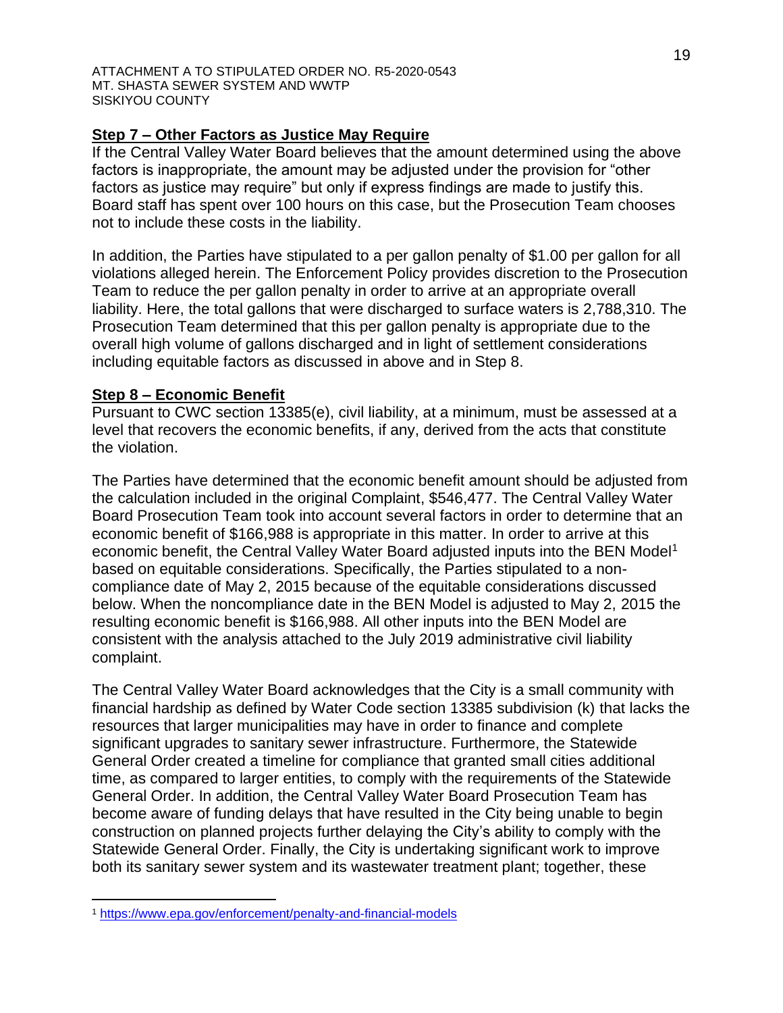## **Step 7 – Other Factors as Justice May Require**

If the Central Valley Water Board believes that the amount determined using the above factors is inappropriate, the amount may be adjusted under the provision for "other factors as justice may require" but only if express findings are made to justify this. Board staff has spent over 100 hours on this case, but the Prosecution Team chooses not to include these costs in the liability.

In addition, the Parties have stipulated to a per gallon penalty of \$1.00 per gallon for all violations alleged herein. The Enforcement Policy provides discretion to the Prosecution Team to reduce the per gallon penalty in order to arrive at an appropriate overall liability. Here, the total gallons that were discharged to surface waters is 2,788,310. The Prosecution Team determined that this per gallon penalty is appropriate due to the overall high volume of gallons discharged and in light of settlement considerations including equitable factors as discussed in above and in Step 8.

### **Step 8 – Economic Benefit**

Pursuant to CWC section 13385(e), civil liability, at a minimum, must be assessed at a level that recovers the economic benefits, if any, derived from the acts that constitute the violation.

The Parties have determined that the economic benefit amount should be adjusted from the calculation included in the original Complaint, \$546,477. The Central Valley Water Board Prosecution Team took into account several factors in order to determine that an economic benefit of \$166,988 is appropriate in this matter. In order to arrive at this economic benefit, the Central Valley Water Board adjusted inputs into the BEN Model<sup>1</sup> based on equitable considerations. Specifically, the Parties stipulated to a noncompliance date of May 2, 2015 because of the equitable considerations discussed below. When the noncompliance date in the BEN Model is adjusted to May 2, 2015 the resulting economic benefit is \$166,988. All other inputs into the BEN Model are consistent with the analysis attached to the July 2019 administrative civil liability complaint.

The Central Valley Water Board acknowledges that the City is a small community with financial hardship as defined by Water Code section 13385 subdivision (k) that lacks the resources that larger municipalities may have in order to finance and complete significant upgrades to sanitary sewer infrastructure. Furthermore, the Statewide General Order created a timeline for compliance that granted small cities additional time, as compared to larger entities, to comply with the requirements of the Statewide General Order. In addition, the Central Valley Water Board Prosecution Team has become aware of funding delays that have resulted in the City being unable to begin construction on planned projects further delaying the City's ability to comply with the Statewide General Order. Finally, the City is undertaking significant work to improve both its sanitary sewer system and its wastewater treatment plant; together, these

<sup>1</sup> <https://www.epa.gov/enforcement/penalty-and-financial-models>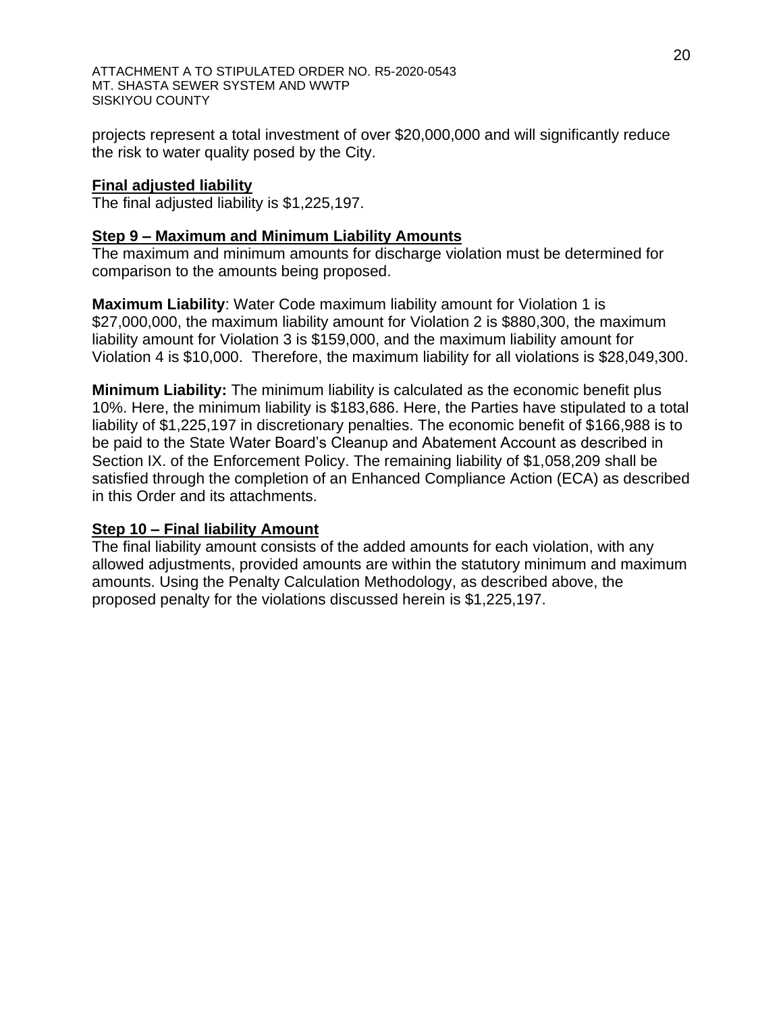projects represent a total investment of over \$20,000,000 and will significantly reduce the risk to water quality posed by the City.

## **Final adjusted liability**

The final adjusted liability is \$1,225,197.

## **Step 9 – Maximum and Minimum Liability Amounts**

The maximum and minimum amounts for discharge violation must be determined for comparison to the amounts being proposed.

**Maximum Liability**: Water Code maximum liability amount for Violation 1 is \$27,000,000, the maximum liability amount for Violation 2 is \$880,300, the maximum liability amount for Violation 3 is \$159,000, and the maximum liability amount for Violation 4 is \$10,000. Therefore, the maximum liability for all violations is \$28,049,300.

**Minimum Liability:** The minimum liability is calculated as the economic benefit plus 10%. Here, the minimum liability is \$183,686. Here, the Parties have stipulated to a total liability of \$1,225,197 in discretionary penalties. The economic benefit of \$166,988 is to be paid to the State Water Board's Cleanup and Abatement Account as described in Section IX. of the Enforcement Policy. The remaining liability of \$1,058,209 shall be satisfied through the completion of an Enhanced Compliance Action (ECA) as described in this Order and its attachments.

### **Step 10 – Final liability Amount**

The final liability amount consists of the added amounts for each violation, with any allowed adjustments, provided amounts are within the statutory minimum and maximum amounts. Using the Penalty Calculation Methodology, as described above, the proposed penalty for the violations discussed herein is \$1,225,197.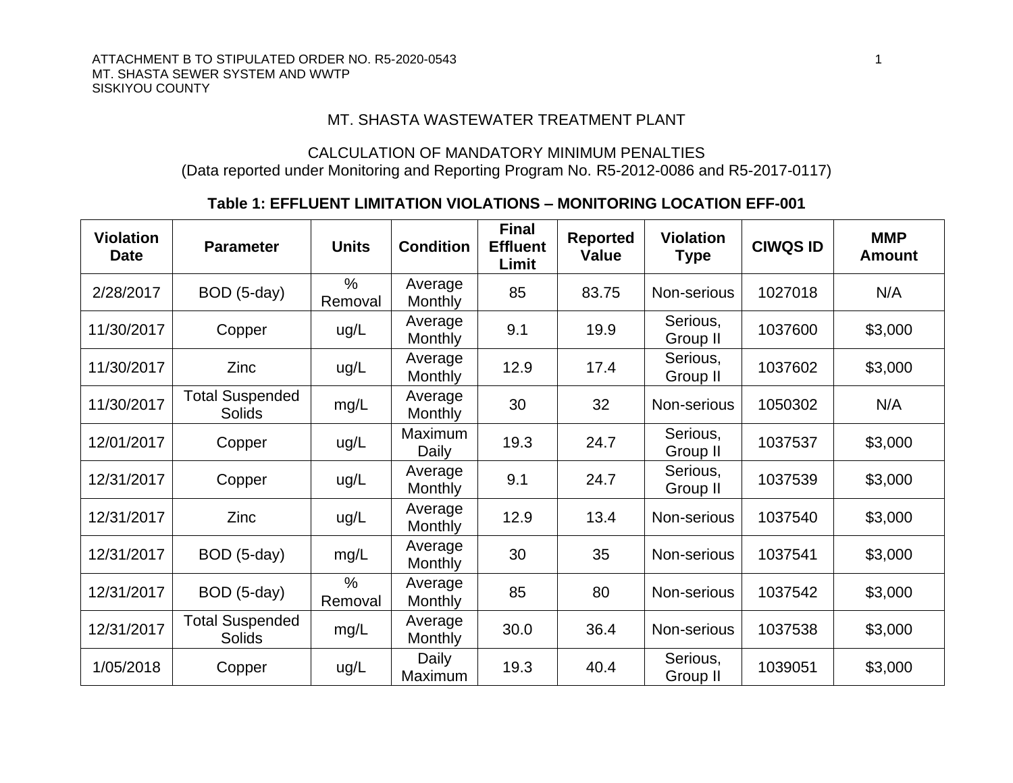#### ATTACHMENT B TO STIPULATED ORDER NO. R5-2020-0543 1 2020 12:00 12:00 12:00 12:00 12:00 12:00 12:00 12:00 12:00 12:00 12:00 12:00 12:00 12:00 12:00 12:00 12:00 12:00 12:00 12:00 12:00 12:00 12:00 12:00 12:00 12:00 12:00 12: MT. SHASTA SEWER SYSTEM AND WWTP SISKIYOU COUNTY

## MT. SHASTA WASTEWATER TREATMENT PLANT

## CALCULATION OF MANDATORY MINIMUM PENALTIES (Data reported under Monitoring and Reporting Program No. R5-2012-0086 and R5-2017-0117)

## **Table 1: EFFLUENT LIMITATION VIOLATIONS – MONITORING LOCATION EFF-001**

| <b>Violation</b><br><b>Date</b> | <b>Parameter</b>                        | <b>Units</b>             | <b>Condition</b>          | <b>Final</b><br><b>Effluent</b><br>Limit | <b>Reported</b><br><b>Value</b> | <b>Violation</b><br><b>Type</b> | <b>CIWQS ID</b> | <b>MMP</b><br><b>Amount</b> |
|---------------------------------|-----------------------------------------|--------------------------|---------------------------|------------------------------------------|---------------------------------|---------------------------------|-----------------|-----------------------------|
| 2/28/2017                       | BOD (5-day)                             | $\frac{0}{0}$<br>Removal | Average<br>Monthly        | 85                                       | 83.75                           | Non-serious                     | 1027018         | N/A                         |
| 11/30/2017                      | Copper                                  | ug/L                     | Average<br>Monthly        | 9.1                                      | 19.9                            | Serious,<br>Group II            | 1037600         | \$3,000                     |
| 11/30/2017                      | Zinc                                    | ug/L                     | Average<br>Monthly        | 12.9                                     | 17.4                            | Serious,<br>Group II            | 1037602         | \$3,000                     |
| 11/30/2017                      | <b>Total Suspended</b><br><b>Solids</b> | mg/L                     | Average<br><b>Monthly</b> | 30                                       | 32                              | Non-serious                     | 1050302         | N/A                         |
| 12/01/2017                      | Copper                                  | ug/L                     | Maximum<br>Daily          | 19.3                                     | 24.7                            | Serious,<br>Group II            | 1037537         | \$3,000                     |
| 12/31/2017                      | Copper                                  | ug/L                     | Average<br>Monthly        | 9.1                                      | 24.7                            | Serious,<br>Group II            | 1037539         | \$3,000                     |
| 12/31/2017                      | Zinc                                    | ug/L                     | Average<br>Monthly        | 12.9                                     | 13.4                            | Non-serious                     | 1037540         | \$3,000                     |
| 12/31/2017                      | BOD (5-day)                             | mg/L                     | Average<br>Monthly        | 30                                       | 35                              | Non-serious                     | 1037541         | \$3,000                     |
| 12/31/2017                      | BOD (5-day)                             | $\frac{0}{0}$<br>Removal | Average<br>Monthly        | 85                                       | 80                              | Non-serious                     | 1037542         | \$3,000                     |
| 12/31/2017                      | <b>Total Suspended</b><br>Solids        | mg/L                     | Average<br>Monthly        | 30.0                                     | 36.4                            | Non-serious                     | 1037538         | \$3,000                     |
| 1/05/2018                       | Copper                                  | ug/L                     | Daily<br>Maximum          | 19.3                                     | 40.4                            | Serious,<br>Group II            | 1039051         | \$3,000                     |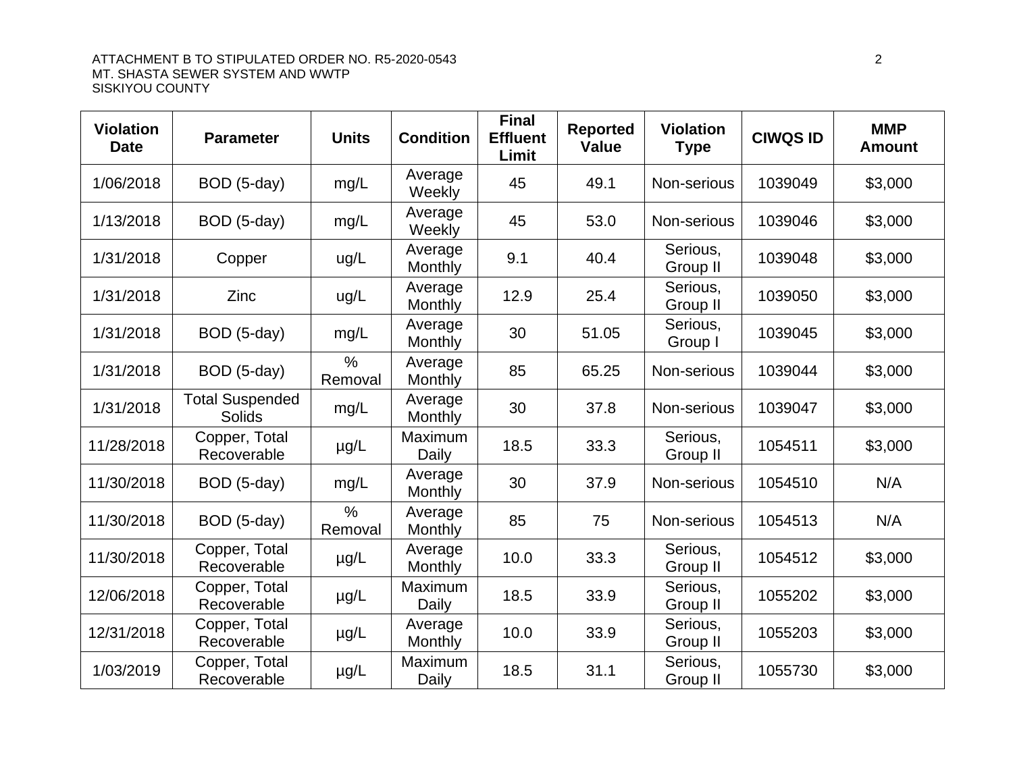| <b>Violation</b><br><b>Date</b> | <b>Parameter</b>                        | <b>Units</b>             | <b>Condition</b>   | <b>Final</b><br><b>Effluent</b><br>Limit | <b>Reported</b><br><b>Value</b> | <b>Violation</b><br><b>Type</b> | <b>CIWQS ID</b> | <b>MMP</b><br><b>Amount</b> |
|---------------------------------|-----------------------------------------|--------------------------|--------------------|------------------------------------------|---------------------------------|---------------------------------|-----------------|-----------------------------|
| 1/06/2018                       | BOD (5-day)                             | mg/L                     | Average<br>Weekly  | 45                                       | 49.1                            | Non-serious                     | 1039049         | \$3,000                     |
| 1/13/2018                       | BOD (5-day)                             | mg/L                     | Average<br>Weekly  | 45                                       | 53.0                            | Non-serious                     | 1039046         | \$3,000                     |
| 1/31/2018                       | Copper                                  | ug/L                     | Average<br>Monthly | 9.1                                      | 40.4                            | Serious,<br>Group II            | 1039048         | \$3,000                     |
| 1/31/2018                       | Zinc                                    | ug/L                     | Average<br>Monthly | 12.9                                     | 25.4                            | Serious,<br>Group II            | 1039050         | \$3,000                     |
| 1/31/2018                       | BOD (5-day)                             | mg/L                     | Average<br>Monthly | 30                                       | 51.05                           | Serious,<br>Group I             | 1039045         | \$3,000                     |
| 1/31/2018                       | BOD (5-day)                             | $\frac{0}{0}$<br>Removal | Average<br>Monthly | 85                                       | 65.25                           | Non-serious                     | 1039044         | \$3,000                     |
| 1/31/2018                       | <b>Total Suspended</b><br><b>Solids</b> | mg/L                     | Average<br>Monthly | 30                                       | 37.8                            | Non-serious                     | 1039047         | \$3,000                     |
| 11/28/2018                      | Copper, Total<br>Recoverable            | $\mu$ g/L                | Maximum<br>Daily   | 18.5                                     | 33.3                            | Serious,<br>Group II            | 1054511         | \$3,000                     |
| 11/30/2018                      | BOD (5-day)                             | mg/L                     | Average<br>Monthly | 30                                       | 37.9                            | Non-serious                     | 1054510         | N/A                         |
| 11/30/2018                      | BOD (5-day)                             | $\frac{0}{0}$<br>Removal | Average<br>Monthly | 85                                       | 75                              | Non-serious                     | 1054513         | N/A                         |
| 11/30/2018                      | Copper, Total<br>Recoverable            | $\mu$ g/L                | Average<br>Monthly | 10.0                                     | 33.3                            | Serious,<br>Group II            | 1054512         | \$3,000                     |
| 12/06/2018                      | Copper, Total<br>Recoverable            | $\mu$ g/L                | Maximum<br>Daily   | 18.5                                     | 33.9                            | Serious,<br>Group II            | 1055202         | \$3,000                     |
| 12/31/2018                      | Copper, Total<br>Recoverable            | $\mu$ g/L                | Average<br>Monthly | 10.0                                     | 33.9                            | Serious,<br>Group II            | 1055203         | \$3,000                     |
| 1/03/2019                       | Copper, Total<br>Recoverable            | $\mu$ g/L                | Maximum<br>Daily   | 18.5                                     | 31.1                            | Serious,<br>Group II            | 1055730         | \$3,000                     |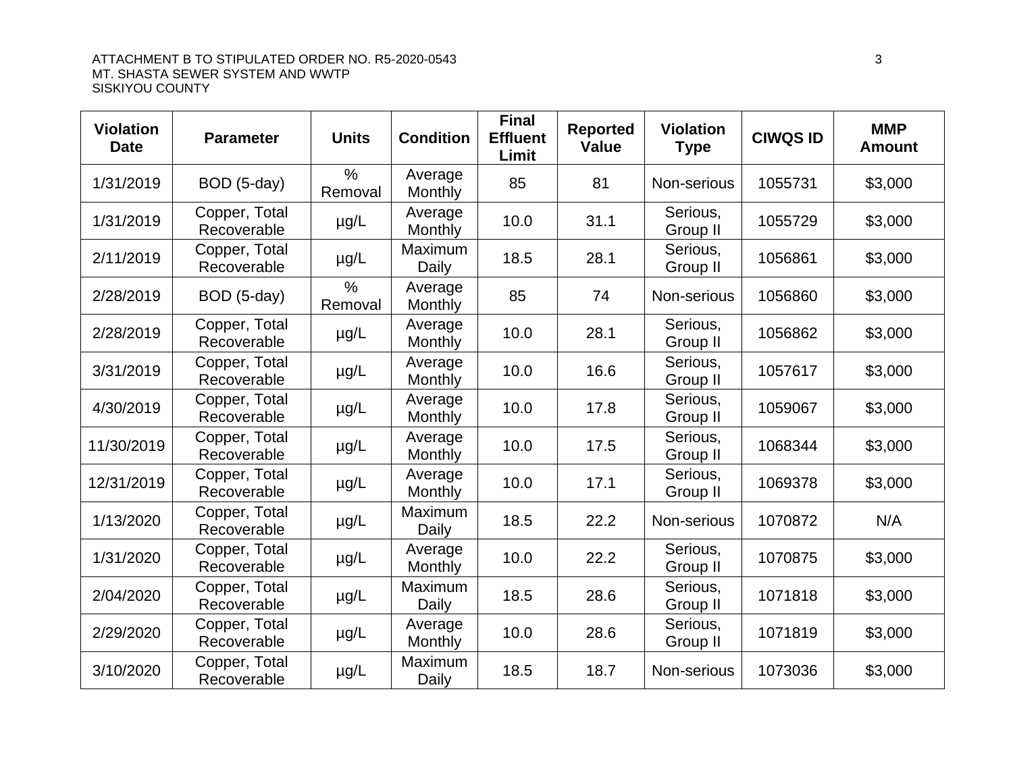| <b>Violation</b><br><b>Date</b> | <b>Parameter</b>             | <b>Units</b>             | <b>Condition</b>   | <b>Final</b><br><b>Effluent</b><br>Limit | <b>Reported</b><br><b>Value</b> | <b>Violation</b><br><b>Type</b> | <b>CIWQS ID</b> | <b>MMP</b><br><b>Amount</b> |
|---------------------------------|------------------------------|--------------------------|--------------------|------------------------------------------|---------------------------------|---------------------------------|-----------------|-----------------------------|
| 1/31/2019                       | BOD (5-day)                  | $\frac{0}{0}$<br>Removal | Average<br>Monthly | 85                                       | 81                              | Non-serious                     | 1055731         | \$3,000                     |
| 1/31/2019                       | Copper, Total<br>Recoverable | $\mu$ g/L                | Average<br>Monthly | 10.0                                     | 31.1                            | Serious,<br>Group II            | 1055729         | \$3,000                     |
| 2/11/2019                       | Copper, Total<br>Recoverable | $\mu$ g/L                | Maximum<br>Daily   | 18.5                                     | 28.1                            | Serious,<br>Group II            | 1056861         | \$3,000                     |
| 2/28/2019                       | BOD (5-day)                  | $\frac{0}{0}$<br>Removal | Average<br>Monthly | 85                                       | 74                              | Non-serious                     | 1056860         | \$3,000                     |
| 2/28/2019                       | Copper, Total<br>Recoverable | $\mu$ g/L                | Average<br>Monthly | 10.0                                     | 28.1                            | Serious,<br>Group II            | 1056862         | \$3,000                     |
| 3/31/2019                       | Copper, Total<br>Recoverable | $\mu$ g/L                | Average<br>Monthly | 10.0                                     | 16.6                            | Serious,<br>Group II            | 1057617         | \$3,000                     |
| 4/30/2019                       | Copper, Total<br>Recoverable | $\mu$ g/L                | Average<br>Monthly | 10.0                                     | 17.8                            | Serious,<br>Group II            | 1059067         | \$3,000                     |
| 11/30/2019                      | Copper, Total<br>Recoverable | $\mu$ g/L                | Average<br>Monthly | 10.0                                     | 17.5                            | Serious,<br>Group II            | 1068344         | \$3,000                     |
| 12/31/2019                      | Copper, Total<br>Recoverable | $\mu$ g/L                | Average<br>Monthly | 10.0                                     | 17.1                            | Serious,<br>Group II            | 1069378         | \$3,000                     |
| 1/13/2020                       | Copper, Total<br>Recoverable | $\mu$ g/L                | Maximum<br>Daily   | 18.5                                     | 22.2                            | Non-serious                     | 1070872         | N/A                         |
| 1/31/2020                       | Copper, Total<br>Recoverable | $\mu$ g/L                | Average<br>Monthly | 10.0                                     | 22.2                            | Serious,<br>Group II            | 1070875         | \$3,000                     |
| 2/04/2020                       | Copper, Total<br>Recoverable | $\mu$ g/L                | Maximum<br>Daily   | 18.5                                     | 28.6                            | Serious,<br>Group II            | 1071818         | \$3,000                     |
| 2/29/2020                       | Copper, Total<br>Recoverable | $\mu$ g/L                | Average<br>Monthly | 10.0                                     | 28.6                            | Serious,<br>Group II            | 1071819         | \$3,000                     |
| 3/10/2020                       | Copper, Total<br>Recoverable | $\mu$ g/L                | Maximum<br>Daily   | 18.5                                     | 18.7                            | Non-serious                     | 1073036         | \$3,000                     |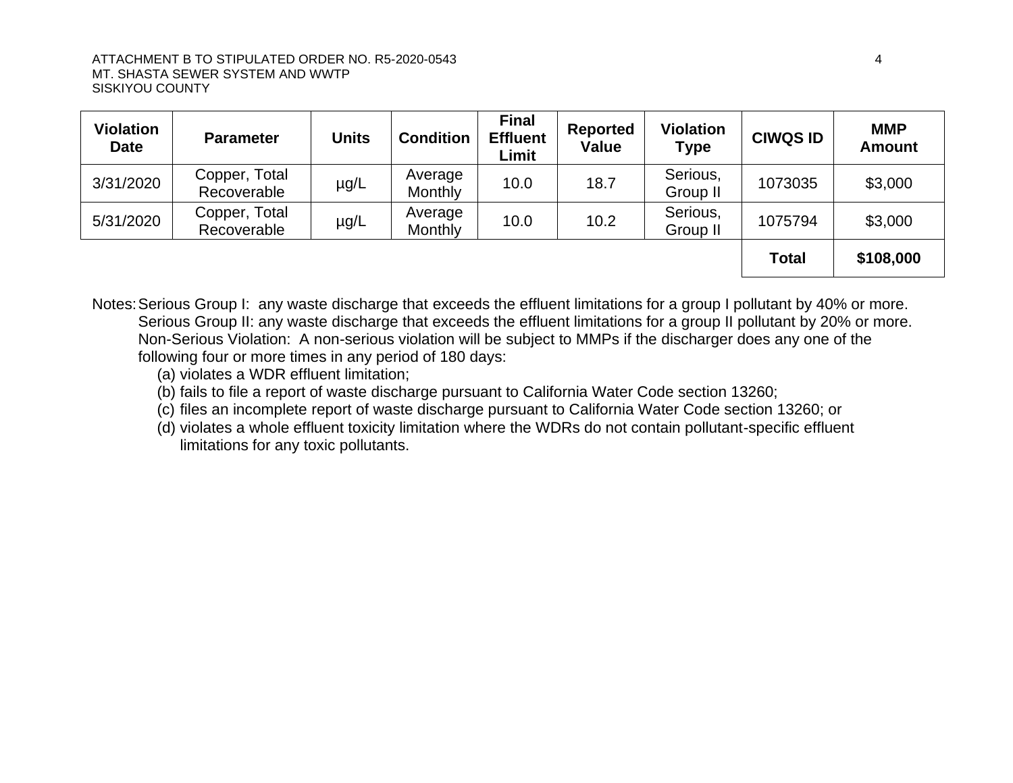| <b>Violation</b><br><b>Date</b> | <b>Parameter</b>             | <b>Units</b> | <b>Condition</b>   | <b>Final</b><br><b>Effluent</b><br>Limit | <b>Reported</b><br><b>Value</b> | <b>Violation</b><br><b>Type</b> | <b>CIWQS ID</b> | <b>MMP</b><br><b>Amount</b> |
|---------------------------------|------------------------------|--------------|--------------------|------------------------------------------|---------------------------------|---------------------------------|-----------------|-----------------------------|
| 3/31/2020                       | Copper, Total<br>Recoverable | $\mu$ g/L    | Average<br>Monthly | 10.0                                     | 18.7                            | Serious,<br>Group II            | 1073035         | \$3,000                     |
| 5/31/2020                       | Copper, Total<br>Recoverable | µg/L         | Average<br>Monthly | 10.0                                     | 10.2                            | Serious,<br>Group II            | 1075794         | \$3,000                     |
|                                 |                              |              |                    |                                          |                                 |                                 | <b>Total</b>    | \$108,000                   |

Notes: Serious Group I: any waste discharge that exceeds the effluent limitations for a group I pollutant by 40% or more. Serious Group II: any waste discharge that exceeds the effluent limitations for a group II pollutant by 20% or more. Non-Serious Violation: A non-serious violation will be subject to MMPs if the discharger does any one of the following four or more times in any period of 180 days:

- (a) violates a WDR effluent limitation;
- (b) fails to file a report of waste discharge pursuant to California Water Code section 13260;
- (c) files an incomplete report of waste discharge pursuant to California Water Code section 13260; or
- (d) violates a whole effluent toxicity limitation where the WDRs do not contain pollutant-specific effluent limitations for any toxic pollutants.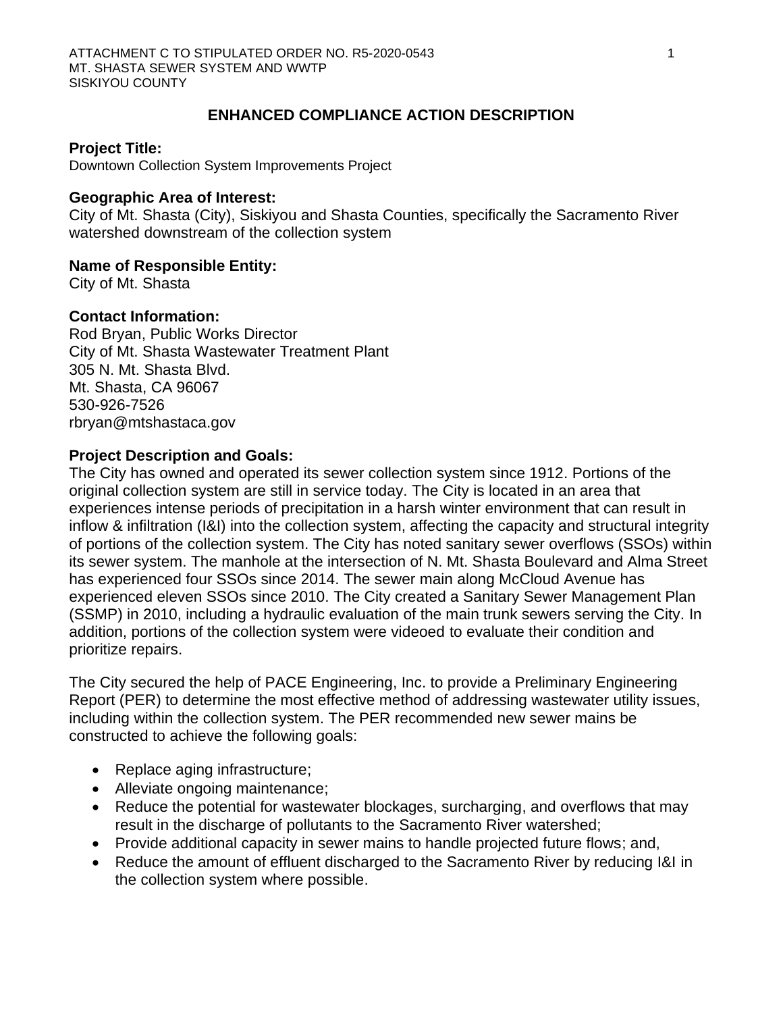## **ENHANCED COMPLIANCE ACTION DESCRIPTION**

#### **Project Title:**

Downtown Collection System Improvements Project

### **Geographic Area of Interest:**

City of Mt. Shasta (City), Siskiyou and Shasta Counties, specifically the Sacramento River watershed downstream of the collection system

#### **Name of Responsible Entity:**

City of Mt. Shasta

#### **Contact Information:**

Rod Bryan, Public Works Director City of Mt. Shasta Wastewater Treatment Plant 305 N. Mt. Shasta Blvd. Mt. Shasta, CA 96067 530-926-7526 rbryan@mtshastaca.gov

### **Project Description and Goals:**

The City has owned and operated its sewer collection system since 1912. Portions of the original collection system are still in service today. The City is located in an area that experiences intense periods of precipitation in a harsh winter environment that can result in inflow & infiltration (I&I) into the collection system, affecting the capacity and structural integrity of portions of the collection system. The City has noted sanitary sewer overflows (SSOs) within its sewer system. The manhole at the intersection of N. Mt. Shasta Boulevard and Alma Street has experienced four SSOs since 2014. The sewer main along McCloud Avenue has experienced eleven SSOs since 2010. The City created a Sanitary Sewer Management Plan (SSMP) in 2010, including a hydraulic evaluation of the main trunk sewers serving the City. In addition, portions of the collection system were videoed to evaluate their condition and prioritize repairs.

The City secured the help of PACE Engineering, Inc. to provide a Preliminary Engineering Report (PER) to determine the most effective method of addressing wastewater utility issues, including within the collection system. The PER recommended new sewer mains be constructed to achieve the following goals:

- Replace aging infrastructure;
- Alleviate ongoing maintenance;
- Reduce the potential for wastewater blockages, surcharging, and overflows that may result in the discharge of pollutants to the Sacramento River watershed;
- Provide additional capacity in sewer mains to handle projected future flows; and,
- Reduce the amount of effluent discharged to the Sacramento River by reducing I&I in the collection system where possible.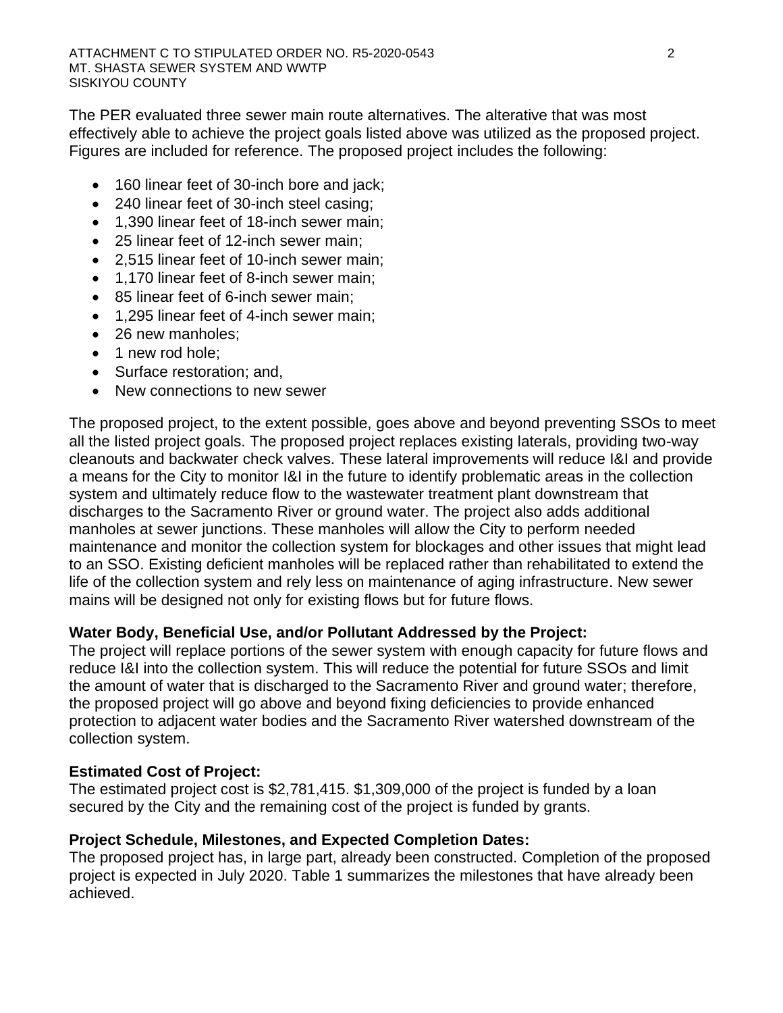The PER evaluated three sewer main route alternatives. The alterative that was most effectively able to achieve the project goals listed above was utilized as the proposed project. Figures are included for reference. The proposed project includes the following:

- 160 linear feet of 30-inch bore and jack;
- 240 linear feet of 30-inch steel casing;
- 1,390 linear feet of 18-inch sewer main;
- 25 linear feet of 12-inch sewer main;
- 2,515 linear feet of 10-inch sewer main;
- 1,170 linear feet of 8-inch sewer main;
- 85 linear feet of 6-inch sewer main;
- 1,295 linear feet of 4-inch sewer main;
- 26 new manholes:
- 1 new rod hole;
- Surface restoration; and,
- New connections to new sewer

The proposed project, to the extent possible, goes above and beyond preventing SSOs to meet all the listed project goals. The proposed project replaces existing laterals, providing two-way cleanouts and backwater check valves. These lateral improvements will reduce I&I and provide a means for the City to monitor I&I in the future to identify problematic areas in the collection system and ultimately reduce flow to the wastewater treatment plant downstream that discharges to the Sacramento River or ground water. The project also adds additional manholes at sewer junctions. These manholes will allow the City to perform needed maintenance and monitor the collection system for blockages and other issues that might lead to an SSO. Existing deficient manholes will be replaced rather than rehabilitated to extend the life of the collection system and rely less on maintenance of aging infrastructure. New sewer mains will be designed not only for existing flows but for future flows.

## **Water Body, Beneficial Use, and/or Pollutant Addressed by the Project:**

The project will replace portions of the sewer system with enough capacity for future flows and reduce I&I into the collection system. This will reduce the potential for future SSOs and limit the amount of water that is discharged to the Sacramento River and ground water; therefore, the proposed project will go above and beyond fixing deficiencies to provide enhanced protection to adjacent water bodies and the Sacramento River watershed downstream of the collection system.

## **Estimated Cost of Project:**

The estimated project cost is \$2,781,415. \$1,309,000 of the project is funded by a loan secured by the City and the remaining cost of the project is funded by grants.

## **Project Schedule, Milestones, and Expected Completion Dates:**

The proposed project has, in large part, already been constructed. Completion of the proposed project is expected in July 2020. [Table 1](#page-39-0) summarizes the milestones that have already been achieved.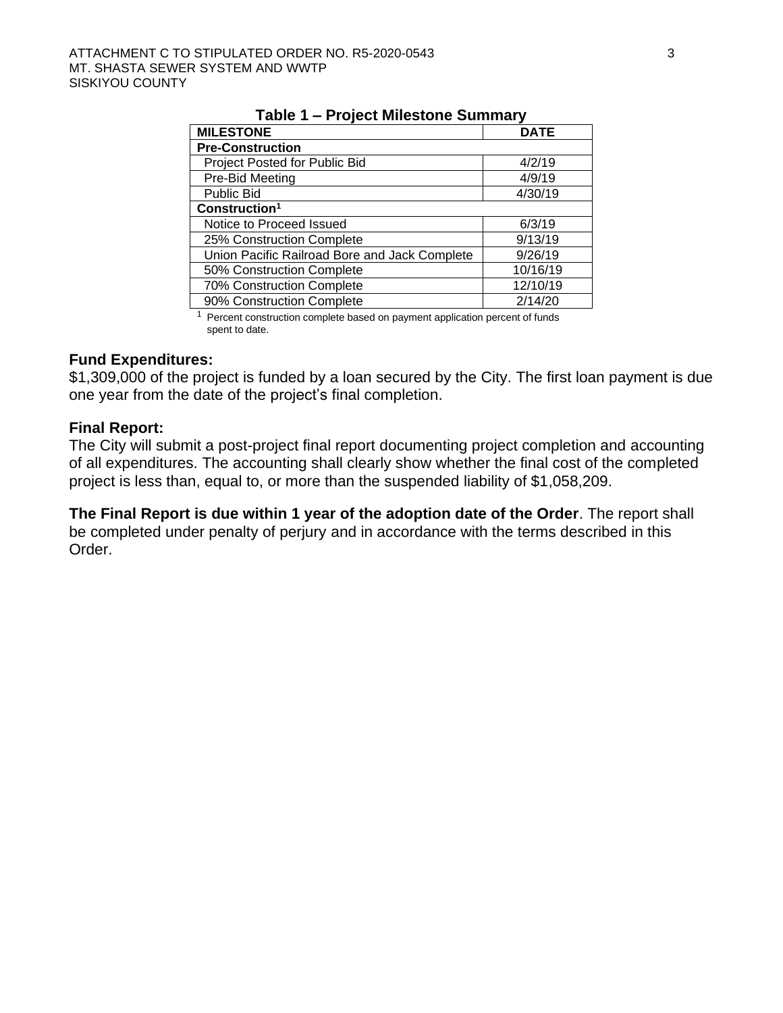<span id="page-39-0"></span>

| IUNIV I<br>$\sim$ 19100) - 19110910110 - 90111111101 |             |  |  |  |  |
|------------------------------------------------------|-------------|--|--|--|--|
| <b>MILESTONE</b>                                     | <b>DATE</b> |  |  |  |  |
| <b>Pre-Construction</b>                              |             |  |  |  |  |
| Project Posted for Public Bid                        | 4/2/19      |  |  |  |  |
| Pre-Bid Meeting                                      | 4/9/19      |  |  |  |  |
| <b>Public Bid</b>                                    | 4/30/19     |  |  |  |  |
| Construction <sup>1</sup>                            |             |  |  |  |  |
| Notice to Proceed Issued                             | 6/3/19      |  |  |  |  |
| 25% Construction Complete                            | 9/13/19     |  |  |  |  |
| Union Pacific Railroad Bore and Jack Complete        | 9/26/19     |  |  |  |  |
| 50% Construction Complete                            | 10/16/19    |  |  |  |  |
| 70% Construction Complete                            | 12/10/19    |  |  |  |  |
| 90% Construction Complete                            | 2/14/20     |  |  |  |  |

**Table 1 – Project Milestone Summary** 

<sup>1</sup> Percent construction complete based on payment application percent of funds spent to date

## **Fund Expenditures:**

\$1,309,000 of the project is funded by a loan secured by the City. The first loan payment is due one year from the date of the project's final completion.

#### **Final Report:**

The City will submit a post-project final report documenting project completion and accounting of all expenditures. The accounting shall clearly show whether the final cost of the completed project is less than, equal to, or more than the suspended liability of \$1,058,209.

**The Final Report is due within 1 year of the adoption date of the Order**. The report shall be completed under penalty of perjury and in accordance with the terms described in this Order.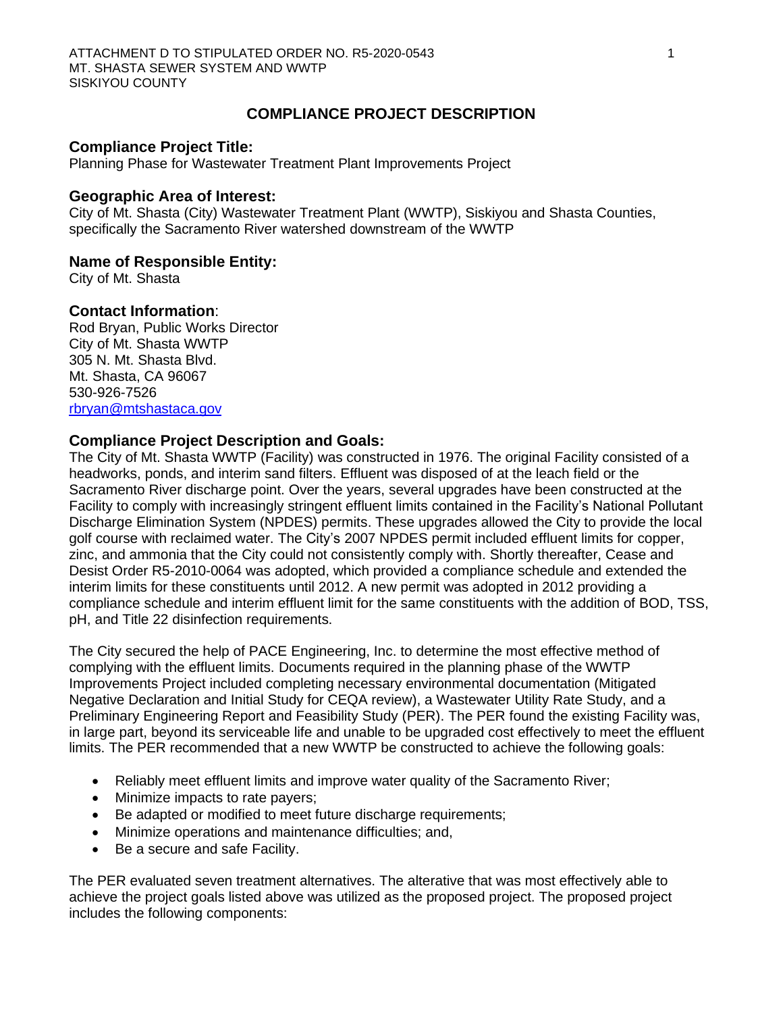## **COMPLIANCE PROJECT DESCRIPTION**

#### **Compliance Project Title:**

Planning Phase for Wastewater Treatment Plant Improvements Project

#### **Geographic Area of Interest:**

City of Mt. Shasta (City) Wastewater Treatment Plant (WWTP), Siskiyou and Shasta Counties, specifically the Sacramento River watershed downstream of the WWTP

#### **Name of Responsible Entity:**

City of Mt. Shasta

### **Contact Information**:

Rod Bryan, Public Works Director City of Mt. Shasta WWTP 305 N. Mt. Shasta Blvd. Mt. Shasta, CA 96067 530-926-7526 [rbryan@mtshastaca.gov](mailto:rbryan@mtshastaca.gov) 

#### **Compliance Project Description and Goals:**

The City of Mt. Shasta WWTP (Facility) was constructed in 1976. The original Facility consisted of a headworks, ponds, and interim sand filters. Effluent was disposed of at the leach field or the Sacramento River discharge point. Over the years, several upgrades have been constructed at the Facility to comply with increasingly stringent effluent limits contained in the Facility's National Pollutant Discharge Elimination System (NPDES) permits. These upgrades allowed the City to provide the local golf course with reclaimed water. The City's 2007 NPDES permit included effluent limits for copper, zinc, and ammonia that the City could not consistently comply with. Shortly thereafter, Cease and Desist Order R5-2010-0064 was adopted, which provided a compliance schedule and extended the interim limits for these constituents until 2012. A new permit was adopted in 2012 providing a compliance schedule and interim effluent limit for the same constituents with the addition of BOD, TSS, pH, and Title 22 disinfection requirements.

The City secured the help of PACE Engineering, Inc. to determine the most effective method of complying with the effluent limits. Documents required in the planning phase of the WWTP Improvements Project included completing necessary environmental documentation (Mitigated Negative Declaration and Initial Study for CEQA review), a Wastewater Utility Rate Study, and a Preliminary Engineering Report and Feasibility Study (PER). The PER found the existing Facility was, in large part, beyond its serviceable life and unable to be upgraded cost effectively to meet the effluent limits. The PER recommended that a new WWTP be constructed to achieve the following goals:

- Reliably meet effluent limits and improve water quality of the Sacramento River;
- Minimize impacts to rate payers;
- Be adapted or modified to meet future discharge requirements;
- Minimize operations and maintenance difficulties; and,
- Be a secure and safe Facility.

The PER evaluated seven treatment alternatives. The alterative that was most effectively able to achieve the project goals listed above was utilized as the proposed project. The proposed project includes the following components: